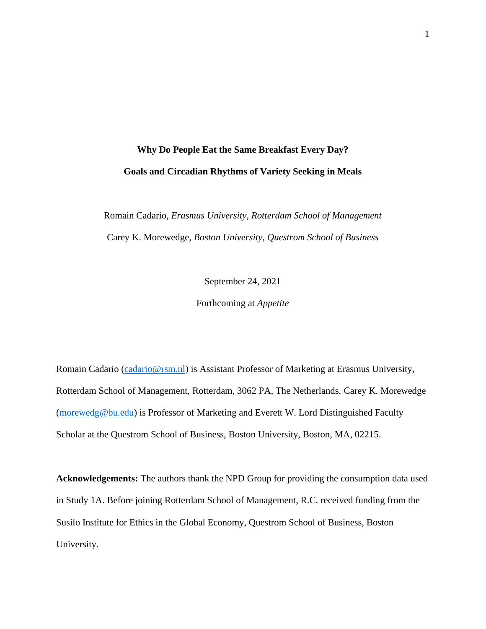# **Why Do People Eat the Same Breakfast Every Day? Goals and Circadian Rhythms of Variety Seeking in Meals**

Romain Cadario, *Erasmus University, Rotterdam School of Management* Carey K. Morewedge, *Boston University, Questrom School of Business*

September 24, 2021

Forthcoming at *Appetite*

Romain Cadario [\(cadario@rsm.nl\)](mailto:cadario@rsm.nl) is Assistant Professor of Marketing at Erasmus University, Rotterdam School of Management, Rotterdam, 3062 PA, The Netherlands. Carey K. Morewedge [\(morewedg@bu.edu\)](mailto:morewedg@bu.edu) is Professor of Marketing and Everett W. Lord Distinguished Faculty Scholar at the Questrom School of Business, Boston University, Boston, MA, 02215.

**Acknowledgements:** The authors thank the NPD Group for providing the consumption data used in Study 1A. Before joining Rotterdam School of Management, R.C. received funding from the Susilo Institute for Ethics in the Global Economy, Questrom School of Business, Boston University.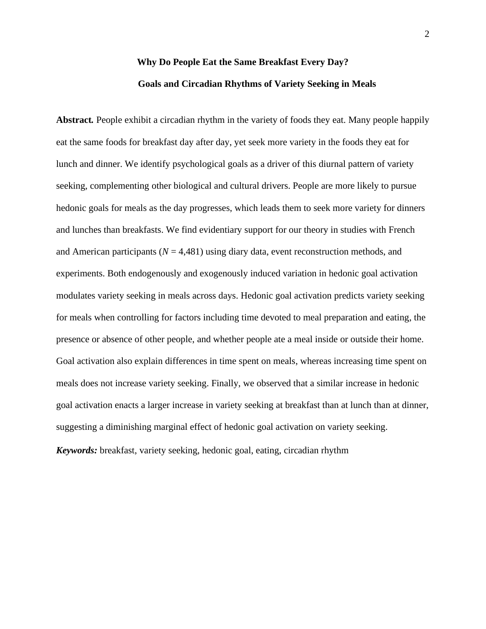# **Why Do People Eat the Same Breakfast Every Day? Goals and Circadian Rhythms of Variety Seeking in Meals**

**Abstract***.* People exhibit a circadian rhythm in the variety of foods they eat. Many people happily eat the same foods for breakfast day after day, yet seek more variety in the foods they eat for lunch and dinner. We identify psychological goals as a driver of this diurnal pattern of variety seeking, complementing other biological and cultural drivers. People are more likely to pursue hedonic goals for meals as the day progresses, which leads them to seek more variety for dinners and lunches than breakfasts. We find evidentiary support for our theory in studies with French and American participants ( $N = 4,481$ ) using diary data, event reconstruction methods, and experiments. Both endogenously and exogenously induced variation in hedonic goal activation modulates variety seeking in meals across days. Hedonic goal activation predicts variety seeking for meals when controlling for factors including time devoted to meal preparation and eating, the presence or absence of other people, and whether people ate a meal inside or outside their home. Goal activation also explain differences in time spent on meals, whereas increasing time spent on meals does not increase variety seeking. Finally, we observed that a similar increase in hedonic goal activation enacts a larger increase in variety seeking at breakfast than at lunch than at dinner, suggesting a diminishing marginal effect of hedonic goal activation on variety seeking. *Keywords:* breakfast, variety seeking, hedonic goal, eating, circadian rhythm

2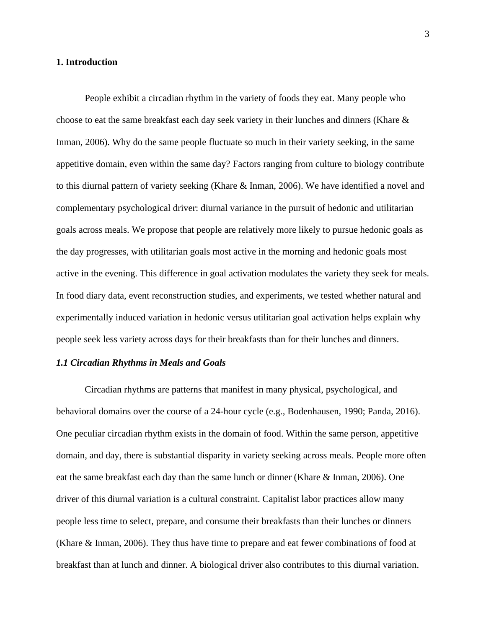#### **1. Introduction**

People exhibit a circadian rhythm in the variety of foods they eat. Many people who choose to eat the same breakfast each day seek variety in their lunches and dinners (Khare & Inman, 2006). Why do the same people fluctuate so much in their variety seeking, in the same appetitive domain, even within the same day? Factors ranging from culture to biology contribute to this diurnal pattern of variety seeking (Khare & Inman, 2006). We have identified a novel and complementary psychological driver: diurnal variance in the pursuit of hedonic and utilitarian goals across meals. We propose that people are relatively more likely to pursue hedonic goals as the day progresses, with utilitarian goals most active in the morning and hedonic goals most active in the evening. This difference in goal activation modulates the variety they seek for meals. In food diary data, event reconstruction studies, and experiments, we tested whether natural and experimentally induced variation in hedonic versus utilitarian goal activation helps explain why people seek less variety across days for their breakfasts than for their lunches and dinners.

#### *1.1 Circadian Rhythms in Meals and Goals*

Circadian rhythms are patterns that manifest in many physical, psychological, and behavioral domains over the course of a 24-hour cycle (e.g., Bodenhausen, 1990; Panda, 2016). One peculiar circadian rhythm exists in the domain of food. Within the same person, appetitive domain, and day, there is substantial disparity in variety seeking across meals. People more often eat the same breakfast each day than the same lunch or dinner (Khare & Inman, 2006). One driver of this diurnal variation is a cultural constraint. Capitalist labor practices allow many people less time to select, prepare, and consume their breakfasts than their lunches or dinners (Khare & Inman, 2006). They thus have time to prepare and eat fewer combinations of food at breakfast than at lunch and dinner. A biological driver also contributes to this diurnal variation.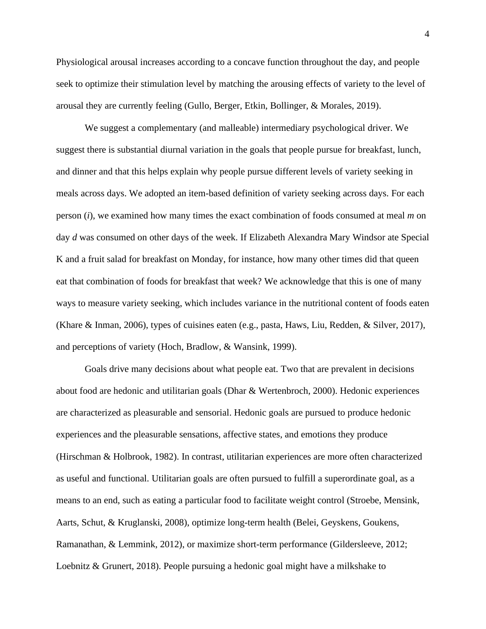Physiological arousal increases according to a concave function throughout the day, and people seek to optimize their stimulation level by matching the arousing effects of variety to the level of arousal they are currently feeling (Gullo, Berger, Etkin, Bollinger, & Morales, 2019).

We suggest a complementary (and malleable) intermediary psychological driver. We suggest there is substantial diurnal variation in the goals that people pursue for breakfast, lunch, and dinner and that this helps explain why people pursue different levels of variety seeking in meals across days. We adopted an item-based definition of variety seeking across days. For each person (*i*), we examined how many times the exact combination of foods consumed at meal *m* on day *d* was consumed on other days of the week. If Elizabeth Alexandra Mary Windsor ate Special K and a fruit salad for breakfast on Monday, for instance, how many other times did that queen eat that combination of foods for breakfast that week? We acknowledge that this is one of many ways to measure variety seeking, which includes variance in the nutritional content of foods eaten (Khare & Inman, 2006), types of cuisines eaten (e.g., pasta, Haws, Liu, Redden, & Silver, 2017), and perceptions of variety (Hoch, Bradlow, & Wansink, 1999).

Goals drive many decisions about what people eat. Two that are prevalent in decisions about food are hedonic and utilitarian goals (Dhar & Wertenbroch, 2000). Hedonic experiences are characterized as pleasurable and sensorial. Hedonic goals are pursued to produce hedonic experiences and the pleasurable sensations, affective states, and emotions they produce (Hirschman & Holbrook, 1982). In contrast, utilitarian experiences are more often characterized as useful and functional. Utilitarian goals are often pursued to fulfill a superordinate goal, as a means to an end, such as eating a particular food to facilitate weight control (Stroebe, Mensink, Aarts, Schut, & Kruglanski, 2008), optimize long-term health (Belei, Geyskens, Goukens, Ramanathan, & Lemmink, 2012), or maximize short-term performance (Gildersleeve, 2012; Loebnitz & Grunert, 2018). People pursuing a hedonic goal might have a milkshake to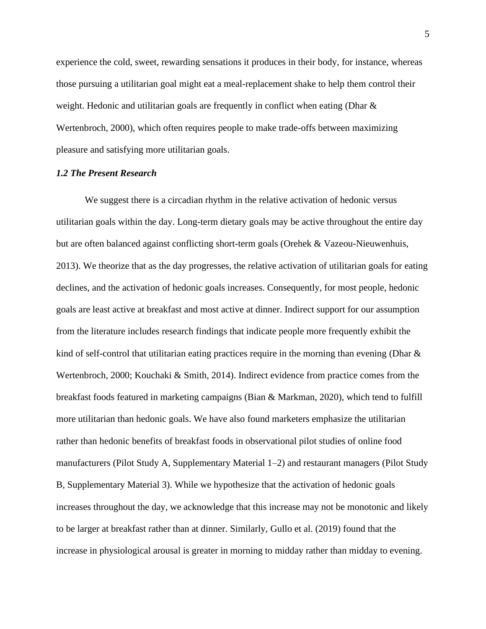experience the cold, sweet, rewarding sensations it produces in their body, for instance, whereas those pursuing a utilitarian goal might eat a meal-replacement shake to help them control their weight. Hedonic and utilitarian goals are frequently in conflict when eating (Dhar & Wertenbroch, 2000), which often requires people to make trade-offs between maximizing pleasure and satisfying more utilitarian goals.

#### *1.2 The Present Research*

We suggest there is a circadian rhythm in the relative activation of hedonic versus utilitarian goals within the day. Long-term dietary goals may be active throughout the entire day but are often balanced against conflicting short-term goals (Orehek & Vazeou-Nieuwenhuis, 2013). We theorize that as the day progresses, the relative activation of utilitarian goals for eating declines, and the activation of hedonic goals increases. Consequently, for most people, hedonic goals are least active at breakfast and most active at dinner. Indirect support for our assumption from the literature includes research findings that indicate people more frequently exhibit the kind of self-control that utilitarian eating practices require in the morning than evening (Dhar & Wertenbroch, 2000; Kouchaki & Smith, 2014). Indirect evidence from practice comes from the breakfast foods featured in marketing campaigns (Bian & Markman, 2020), which tend to fulfill more utilitarian than hedonic goals. We have also found marketers emphasize the utilitarian rather than hedonic benefits of breakfast foods in observational pilot studies of online food manufacturers (Pilot Study A, Supplementary Material 1–2) and restaurant managers (Pilot Study B, Supplementary Material 3). While we hypothesize that the activation of hedonic goals increases throughout the day, we acknowledge that this increase may not be monotonic and likely to be larger at breakfast rather than at dinner. Similarly, Gullo et al. (2019) found that the increase in physiological arousal is greater in morning to midday rather than midday to evening.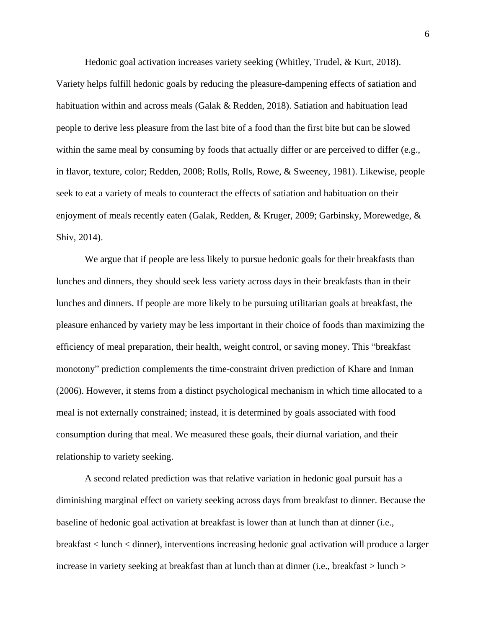Hedonic goal activation increases variety seeking (Whitley, Trudel, & Kurt, 2018). Variety helps fulfill hedonic goals by reducing the pleasure-dampening effects of satiation and habituation within and across meals (Galak & Redden, 2018). Satiation and habituation lead people to derive less pleasure from the last bite of a food than the first bite but can be slowed within the same meal by consuming by foods that actually differ or are perceived to differ (e.g., in flavor, texture, color; Redden, 2008; Rolls, Rolls, Rowe, & Sweeney, 1981). Likewise, people seek to eat a variety of meals to counteract the effects of satiation and habituation on their enjoyment of meals recently eaten (Galak, Redden, & Kruger, 2009; Garbinsky, Morewedge, & Shiv, 2014).

We argue that if people are less likely to pursue hedonic goals for their breakfasts than lunches and dinners, they should seek less variety across days in their breakfasts than in their lunches and dinners. If people are more likely to be pursuing utilitarian goals at breakfast, the pleasure enhanced by variety may be less important in their choice of foods than maximizing the efficiency of meal preparation, their health, weight control, or saving money. This "breakfast monotony" prediction complements the time-constraint driven prediction of Khare and Inman (2006). However, it stems from a distinct psychological mechanism in which time allocated to a meal is not externally constrained; instead, it is determined by goals associated with food consumption during that meal. We measured these goals, their diurnal variation, and their relationship to variety seeking.

A second related prediction was that relative variation in hedonic goal pursuit has a diminishing marginal effect on variety seeking across days from breakfast to dinner. Because the baseline of hedonic goal activation at breakfast is lower than at lunch than at dinner (i.e., breakfast < lunch < dinner), interventions increasing hedonic goal activation will produce a larger increase in variety seeking at breakfast than at lunch than at dinner (i.e., breakfast  $>$  lunch  $>$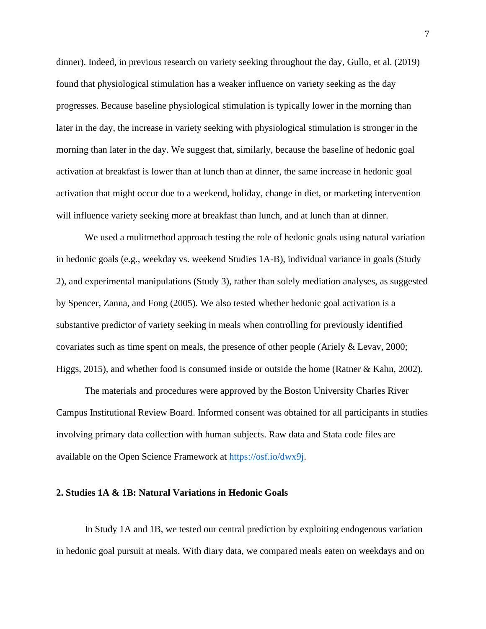dinner). Indeed, in previous research on variety seeking throughout the day, Gullo, et al. (2019) found that physiological stimulation has a weaker influence on variety seeking as the day progresses. Because baseline physiological stimulation is typically lower in the morning than later in the day, the increase in variety seeking with physiological stimulation is stronger in the morning than later in the day. We suggest that, similarly, because the baseline of hedonic goal activation at breakfast is lower than at lunch than at dinner, the same increase in hedonic goal activation that might occur due to a weekend, holiday, change in diet, or marketing intervention will influence variety seeking more at breakfast than lunch, and at lunch than at dinner.

We used a mulitmethod approach testing the role of hedonic goals using natural variation in hedonic goals (e.g., weekday vs. weekend Studies 1A-B), individual variance in goals (Study 2), and experimental manipulations (Study 3), rather than solely mediation analyses, as suggested by Spencer, Zanna, and Fong (2005). We also tested whether hedonic goal activation is a substantive predictor of variety seeking in meals when controlling for previously identified covariates such as time spent on meals, the presence of other people (Ariely & Levav, 2000; Higgs, 2015), and whether food is consumed inside or outside the home (Ratner & Kahn, 2002).

The materials and procedures were approved by the Boston University Charles River Campus Institutional Review Board. Informed consent was obtained for all participants in studies involving primary data collection with human subjects. Raw data and Stata code files are available on the Open Science Framework at [https://osf.io/dwx9j.](https://osf.io/dwx9j/)

#### **2. Studies 1A & 1B: Natural Variations in Hedonic Goals**

In Study 1A and 1B, we tested our central prediction by exploiting endogenous variation in hedonic goal pursuit at meals. With diary data, we compared meals eaten on weekdays and on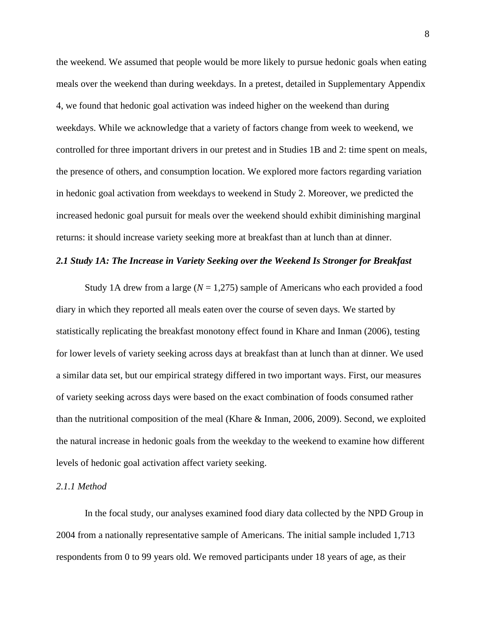the weekend. We assumed that people would be more likely to pursue hedonic goals when eating meals over the weekend than during weekdays. In a pretest, detailed in Supplementary Appendix 4, we found that hedonic goal activation was indeed higher on the weekend than during weekdays. While we acknowledge that a variety of factors change from week to weekend, we controlled for three important drivers in our pretest and in Studies 1B and 2: time spent on meals, the presence of others, and consumption location. We explored more factors regarding variation in hedonic goal activation from weekdays to weekend in Study 2. Moreover, we predicted the increased hedonic goal pursuit for meals over the weekend should exhibit diminishing marginal returns: it should increase variety seeking more at breakfast than at lunch than at dinner.

#### *2.1 Study 1A: The Increase in Variety Seeking over the Weekend Is Stronger for Breakfast*

Study 1A drew from a large (*N* = 1,275) sample of Americans who each provided a food diary in which they reported all meals eaten over the course of seven days. We started by statistically replicating the breakfast monotony effect found in Khare and Inman (2006), testing for lower levels of variety seeking across days at breakfast than at lunch than at dinner. We used a similar data set, but our empirical strategy differed in two important ways. First, our measures of variety seeking across days were based on the exact combination of foods consumed rather than the nutritional composition of the meal (Khare & Inman, 2006, 2009). Second, we exploited the natural increase in hedonic goals from the weekday to the weekend to examine how different levels of hedonic goal activation affect variety seeking.

#### *2.1.1 Method*

In the focal study, our analyses examined food diary data collected by the NPD Group in 2004 from a nationally representative sample of Americans. The initial sample included 1,713 respondents from 0 to 99 years old. We removed participants under 18 years of age, as their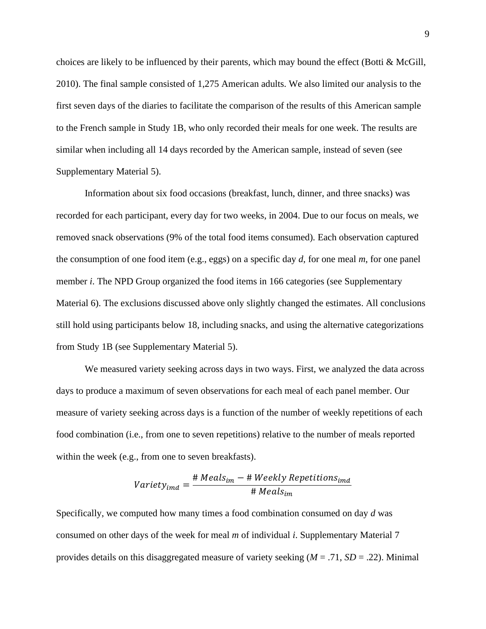choices are likely to be influenced by their parents, which may bound the effect (Botti & McGill, 2010). The final sample consisted of 1,275 American adults. We also limited our analysis to the first seven days of the diaries to facilitate the comparison of the results of this American sample to the French sample in Study 1B, who only recorded their meals for one week. The results are similar when including all 14 days recorded by the American sample, instead of seven (see Supplementary Material 5).

Information about six food occasions (breakfast, lunch, dinner, and three snacks) was recorded for each participant, every day for two weeks, in 2004. Due to our focus on meals, we removed snack observations (9% of the total food items consumed). Each observation captured the consumption of one food item (e.g., eggs) on a specific day *d*, for one meal *m*, for one panel member *i*. The NPD Group organized the food items in 166 categories (see Supplementary Material 6). The exclusions discussed above only slightly changed the estimates. All conclusions still hold using participants below 18, including snacks, and using the alternative categorizations from Study 1B (see Supplementary Material 5).

We measured variety seeking across days in two ways. First, we analyzed the data across days to produce a maximum of seven observations for each meal of each panel member. Our measure of variety seeking across days is a function of the number of weekly repetitions of each food combination (i.e., from one to seven repetitions) relative to the number of meals reported within the week (e.g., from one to seven breakfasts).

$$
Variety_{imd} = \frac{\# \text{Meals}_{im} - \# \text{Weekly Repetitions}_{imd}}{\# \text{Meals}_{im}}
$$

Specifically, we computed how many times a food combination consumed on day *d* was consumed on other days of the week for meal *m* of individual *i*. Supplementary Material 7 provides details on this disaggregated measure of variety seeking (*M* = .71, *SD* = .22). Minimal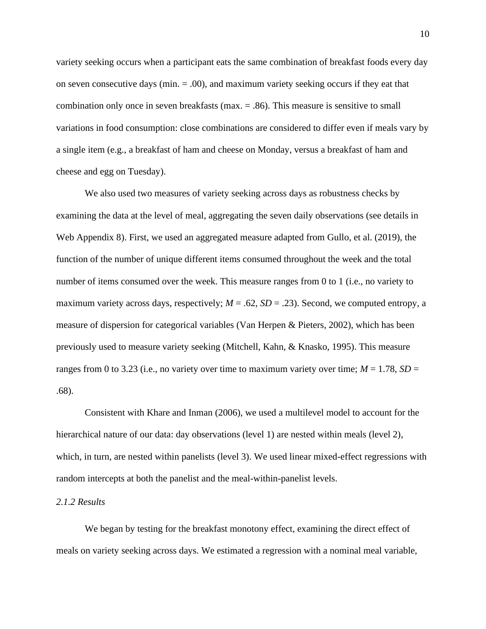variety seeking occurs when a participant eats the same combination of breakfast foods every day on seven consecutive days (min.  $= .00$ ), and maximum variety seeking occurs if they eat that combination only once in seven breakfasts (max. = .86). This measure is sensitive to small variations in food consumption: close combinations are considered to differ even if meals vary by a single item (e.g., a breakfast of ham and cheese on Monday, versus a breakfast of ham and cheese and egg on Tuesday).

We also used two measures of variety seeking across days as robustness checks by examining the data at the level of meal, aggregating the seven daily observations (see details in Web Appendix 8). First, we used an aggregated measure adapted from Gullo, et al. (2019), the function of the number of unique different items consumed throughout the week and the total number of items consumed over the week. This measure ranges from 0 to 1 (i.e., no variety to maximum variety across days, respectively;  $M = .62$ ,  $SD = .23$ ). Second, we computed entropy, a measure of dispersion for categorical variables (Van Herpen & Pieters, 2002), which has been previously used to measure variety seeking (Mitchell, Kahn, & Knasko, 1995). This measure ranges from 0 to 3.23 (i.e., no variety over time to maximum variety over time;  $M = 1.78$ ,  $SD =$ .68).

Consistent with Khare and Inman (2006), we used a multilevel model to account for the hierarchical nature of our data: day observations (level 1) are nested within meals (level 2), which, in turn, are nested within panelists (level 3). We used linear mixed-effect regressions with random intercepts at both the panelist and the meal-within-panelist levels.

#### *2.1.2 Results*

We began by testing for the breakfast monotony effect, examining the direct effect of meals on variety seeking across days. We estimated a regression with a nominal meal variable,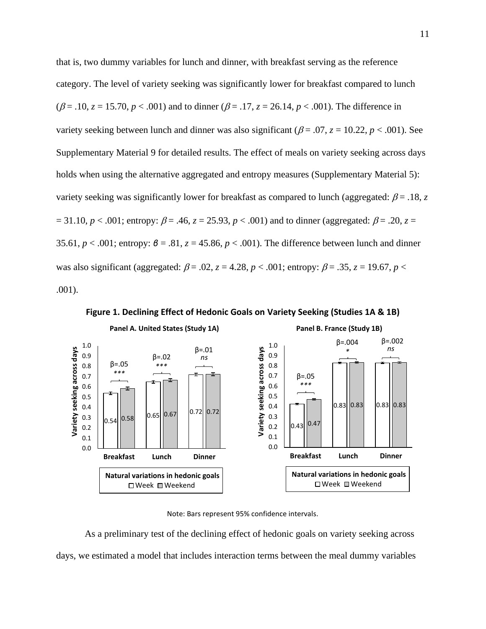that is, two dummy variables for lunch and dinner, with breakfast serving as the reference category. The level of variety seeking was significantly lower for breakfast compared to lunch  $(\beta = .10, z = 15.70, p < .001)$  and to dinner  $(\beta = .17, z = 26.14, p < .001)$ . The difference in variety seeking between lunch and dinner was also significant ( $\beta$  = .07,  $z$  = 10.22,  $p$  < .001). See Supplementary Material 9 for detailed results. The effect of meals on variety seeking across days holds when using the alternative aggregated and entropy measures (Supplementary Material 5): variety seeking was significantly lower for breakfast as compared to lunch (aggregated:  $\beta$  = .18, *z*  $= 31.10, p < .001$ ; entropy:  $\beta = .46, z = 25.93, p < .001$ ) and to dinner (aggregated:  $\beta = .20, z =$ 35.61, *p* < .001; entropy: *β* = .81, *z* = 45.86, *p* < .001). The difference between lunch and dinner was also significant (aggregated:  $\beta = .02$ ,  $z = 4.28$ ,  $p < .001$ ; entropy:  $\beta = .35$ ,  $z = 19.67$ ,  $p <$ .001).



**Figure 1. Declining Effect of Hedonic Goals on Variety Seeking (Studies 1A & 1B)**

Note: Bars represent 95% confidence intervals.

As a preliminary test of the declining effect of hedonic goals on variety seeking across days, we estimated a model that includes interaction terms between the meal dummy variables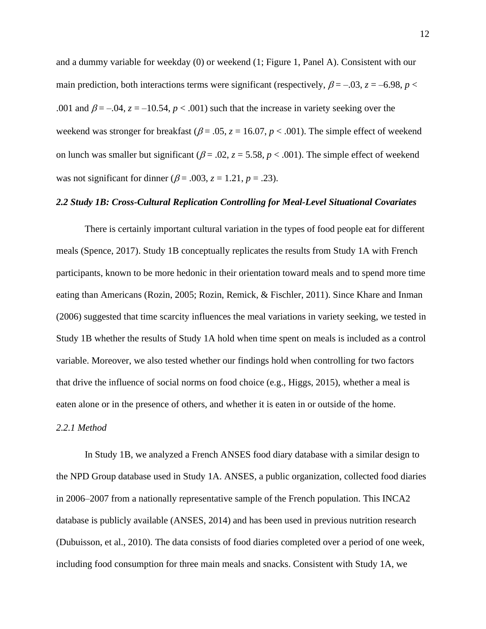and a dummy variable for weekday (0) or weekend (1; Figure 1, Panel A). Consistent with our main prediction, both interactions terms were significant (respectively,  $\beta = -0.03$ ,  $z = -6.98$ ,  $p <$ .001 and  $\beta = -0.04$ ,  $z = -10.54$ ,  $p < 0.001$ ) such that the increase in variety seeking over the weekend was stronger for breakfast ( $\beta$  = .05,  $z$  = 16.07,  $p$  < .001). The simple effect of weekend on lunch was smaller but significant ( $\beta$  = .02,  $z$  = 5.58,  $p$  < .001). The simple effect of weekend was not significant for dinner ( $\beta$  = .003,  $z$  = 1.21,  $p$  = .23).

### *2.2 Study 1B: Cross-Cultural Replication Controlling for Meal-Level Situational Covariates*

There is certainly important cultural variation in the types of food people eat for different meals (Spence, 2017). Study 1B conceptually replicates the results from Study 1A with French participants, known to be more hedonic in their orientation toward meals and to spend more time eating than Americans (Rozin, 2005; Rozin, Remick, & Fischler, 2011). Since Khare and Inman (2006) suggested that time scarcity influences the meal variations in variety seeking, we tested in Study 1B whether the results of Study 1A hold when time spent on meals is included as a control variable. Moreover, we also tested whether our findings hold when controlling for two factors that drive the influence of social norms on food choice (e.g., Higgs, 2015), whether a meal is eaten alone or in the presence of others, and whether it is eaten in or outside of the home.

#### *2.2.1 Method*

In Study 1B, we analyzed a French ANSES food diary database with a similar design to the NPD Group database used in Study 1A. ANSES, a public organization, collected food diaries in 2006–2007 from a nationally representative sample of the French population. This INCA2 database is publicly available (ANSES, 2014) and has been used in previous nutrition research (Dubuisson, et al., 2010). The data consists of food diaries completed over a period of one week, including food consumption for three main meals and snacks. Consistent with Study 1A, we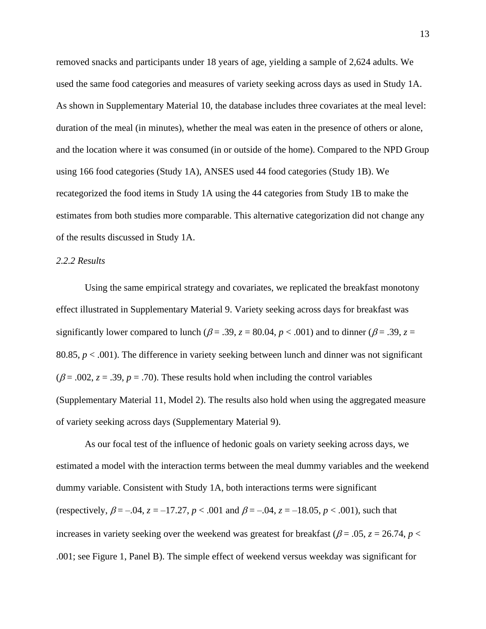removed snacks and participants under 18 years of age, yielding a sample of 2,624 adults. We used the same food categories and measures of variety seeking across days as used in Study 1A. As shown in Supplementary Material 10, the database includes three covariates at the meal level: duration of the meal (in minutes), whether the meal was eaten in the presence of others or alone, and the location where it was consumed (in or outside of the home). Compared to the NPD Group using 166 food categories (Study 1A), ANSES used 44 food categories (Study 1B). We recategorized the food items in Study 1A using the 44 categories from Study 1B to make the estimates from both studies more comparable. This alternative categorization did not change any of the results discussed in Study 1A.

#### *2.2.2 Results*

Using the same empirical strategy and covariates, we replicated the breakfast monotony effect illustrated in Supplementary Material 9. Variety seeking across days for breakfast was significantly lower compared to lunch ( $\beta$  = .39,  $z$  = 80.04,  $p$  < .001) and to dinner ( $\beta$  = .39,  $z$  = 80.85,  $p < .001$ ). The difference in variety seeking between lunch and dinner was not significant ( $\beta$  = .002,  $z$  = .39,  $p$  = .70). These results hold when including the control variables (Supplementary Material 11, Model 2). The results also hold when using the aggregated measure of variety seeking across days (Supplementary Material 9).

As our focal test of the influence of hedonic goals on variety seeking across days, we estimated a model with the interaction terms between the meal dummy variables and the weekend dummy variable. Consistent with Study 1A, both interactions terms were significant (respectively,  $\beta = -.04$ ,  $z = -17.27$ ,  $p < .001$  and  $\beta = -.04$ ,  $z = -18.05$ ,  $p < .001$ ), such that increases in variety seeking over the weekend was greatest for breakfast ( $\beta$  = .05, *z* = 26.74, *p* < .001; see Figure 1, Panel B). The simple effect of weekend versus weekday was significant for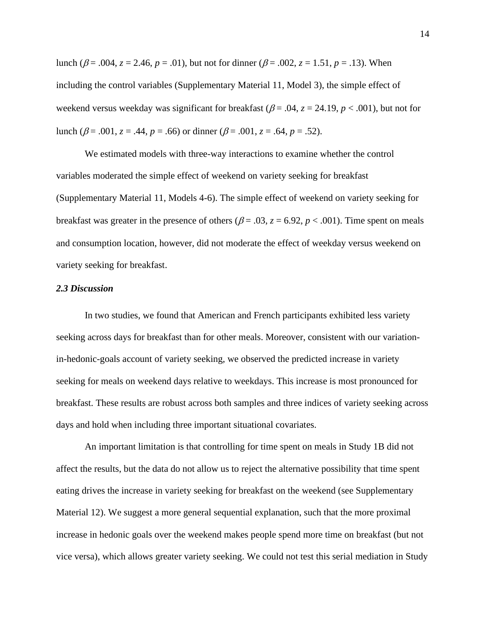lunch ( $\beta$  = .004, *z* = 2.46, *p* = .01), but not for dinner ( $\beta$  = .002, *z* = 1.51, *p* = .13). When including the control variables (Supplementary Material 11, Model 3), the simple effect of weekend versus weekday was significant for breakfast ( $\beta$  = .04,  $z$  = 24.19,  $p$  < .001), but not for lunch ( $\beta$  = .001,  $z$  = .44,  $p$  = .66) or dinner ( $\beta$  = .001,  $z$  = .64,  $p$  = .52).

We estimated models with three-way interactions to examine whether the control variables moderated the simple effect of weekend on variety seeking for breakfast (Supplementary Material 11, Models 4-6). The simple effect of weekend on variety seeking for breakfast was greater in the presence of others ( $\beta = .03$ ,  $z = 6.92$ ,  $p < .001$ ). Time spent on meals and consumption location, however, did not moderate the effect of weekday versus weekend on variety seeking for breakfast.

### *2.3 Discussion*

In two studies, we found that American and French participants exhibited less variety seeking across days for breakfast than for other meals. Moreover, consistent with our variationin-hedonic-goals account of variety seeking, we observed the predicted increase in variety seeking for meals on weekend days relative to weekdays. This increase is most pronounced for breakfast. These results are robust across both samples and three indices of variety seeking across days and hold when including three important situational covariates.

An important limitation is that controlling for time spent on meals in Study 1B did not affect the results, but the data do not allow us to reject the alternative possibility that time spent eating drives the increase in variety seeking for breakfast on the weekend (see Supplementary Material 12). We suggest a more general sequential explanation, such that the more proximal increase in hedonic goals over the weekend makes people spend more time on breakfast (but not vice versa), which allows greater variety seeking. We could not test this serial mediation in Study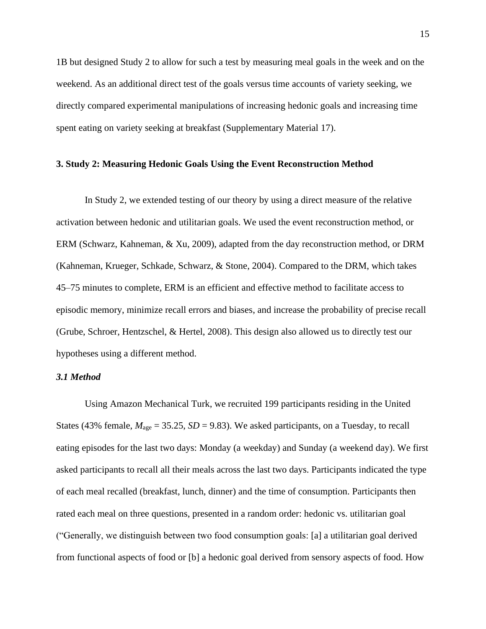1B but designed Study 2 to allow for such a test by measuring meal goals in the week and on the weekend. As an additional direct test of the goals versus time accounts of variety seeking, we directly compared experimental manipulations of increasing hedonic goals and increasing time spent eating on variety seeking at breakfast (Supplementary Material 17).

#### **3. Study 2: Measuring Hedonic Goals Using the Event Reconstruction Method**

In Study 2, we extended testing of our theory by using a direct measure of the relative activation between hedonic and utilitarian goals. We used the event reconstruction method, or ERM (Schwarz, Kahneman, & Xu, 2009), adapted from the day reconstruction method, or DRM (Kahneman, Krueger, Schkade, Schwarz, & Stone, 2004). Compared to the DRM, which takes 45–75 minutes to complete, ERM is an efficient and effective method to facilitate access to episodic memory, minimize recall errors and biases, and increase the probability of precise recall (Grube, Schroer, Hentzschel, & Hertel, 2008). This design also allowed us to directly test our hypotheses using a different method.

#### *3.1 Method*

Using Amazon Mechanical Turk, we recruited 199 participants residing in the United States (43% female,  $M_{\text{age}} = 35.25$ ,  $SD = 9.83$ ). We asked participants, on a Tuesday, to recall eating episodes for the last two days: Monday (a weekday) and Sunday (a weekend day). We first asked participants to recall all their meals across the last two days. Participants indicated the type of each meal recalled (breakfast, lunch, dinner) and the time of consumption. Participants then rated each meal on three questions, presented in a random order: hedonic vs. utilitarian goal ("Generally, we distinguish between two food consumption goals: [a] a utilitarian goal derived from functional aspects of food or [b] a hedonic goal derived from sensory aspects of food. How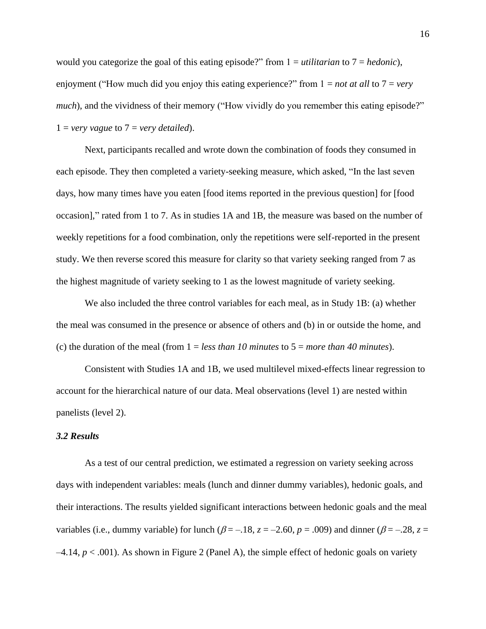would you categorize the goal of this eating episode?" from 1 = *utilitarian* to 7 = *hedonic*), enjoyment ("How much did you enjoy this eating experience?" from 1 = *not at all* to 7 = *very much*), and the vividness of their memory ("How vividly do you remember this eating episode?"  $1 = \text{very vague to } 7 = \text{very detailed}.$ 

Next, participants recalled and wrote down the combination of foods they consumed in each episode. They then completed a variety-seeking measure, which asked, "In the last seven days, how many times have you eaten [food items reported in the previous question] for [food occasion]," rated from 1 to 7. As in studies 1A and 1B, the measure was based on the number of weekly repetitions for a food combination, only the repetitions were self-reported in the present study. We then reverse scored this measure for clarity so that variety seeking ranged from 7 as the highest magnitude of variety seeking to 1 as the lowest magnitude of variety seeking.

We also included the three control variables for each meal, as in Study 1B: (a) whether the meal was consumed in the presence or absence of others and (b) in or outside the home, and (c) the duration of the meal (from  $1 = less than 10 minutes$  to  $5 = more than 40 minutes$ ).

Consistent with Studies 1A and 1B, we used multilevel mixed-effects linear regression to account for the hierarchical nature of our data. Meal observations (level 1) are nested within panelists (level 2).

#### *3.2 Results*

As a test of our central prediction, we estimated a regression on variety seeking across days with independent variables: meals (lunch and dinner dummy variables), hedonic goals, and their interactions. The results yielded significant interactions between hedonic goals and the meal variables (i.e., dummy variable) for lunch  $(\beta = -18, z = -2.60, p = .009)$  and dinner  $(\beta = -28, z =$  $-4.14$ ,  $p < .001$ ). As shown in Figure 2 (Panel A), the simple effect of hedonic goals on variety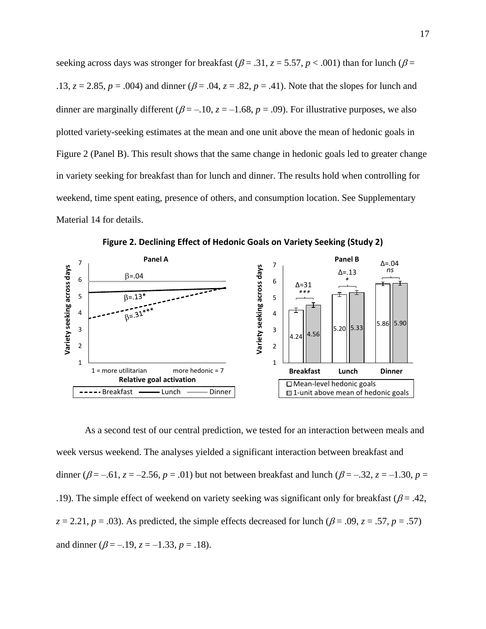seeking across days was stronger for breakfast ( $\beta$  = .31,  $z$  = 5.57,  $p$  < .001) than for lunch ( $\beta$  = .13,  $z = 2.85$ ,  $p = .004$ ) and dinner ( $\beta = .04$ ,  $z = .82$ ,  $p = .41$ ). Note that the slopes for lunch and dinner are marginally different ( $\beta = -10$ ,  $z = -1.68$ ,  $p = .09$ ). For illustrative purposes, we also plotted variety-seeking estimates at the mean and one unit above the mean of hedonic goals in Figure 2 (Panel B). This result shows that the same change in hedonic goals led to greater change in variety seeking for breakfast than for lunch and dinner. The results hold when controlling for weekend, time spent eating, presence of others, and consumption location. See Supplementary Material 14 for details.



**Figure 2. Declining Effect of Hedonic Goals on Variety Seeking (Study 2)**

As a second test of our central prediction, we tested for an interaction between meals and week versus weekend. The analyses yielded a significant interaction between breakfast and dinner ( $\beta = -.61$ ,  $z = -2.56$ ,  $p = .01$ ) but not between breakfast and lunch ( $\beta = -.32$ ,  $z = -1.30$ ,  $p =$ .19). The simple effect of weekend on variety seeking was significant only for breakfast ( $\beta$  = .42,  $z = 2.21$ ,  $p = .03$ ). As predicted, the simple effects decreased for lunch ( $\beta = .09$ ,  $z = .57$ ,  $p = .57$ ) and dinner ( $\beta = -.19$ ,  $z = -1.33$ ,  $p = .18$ ).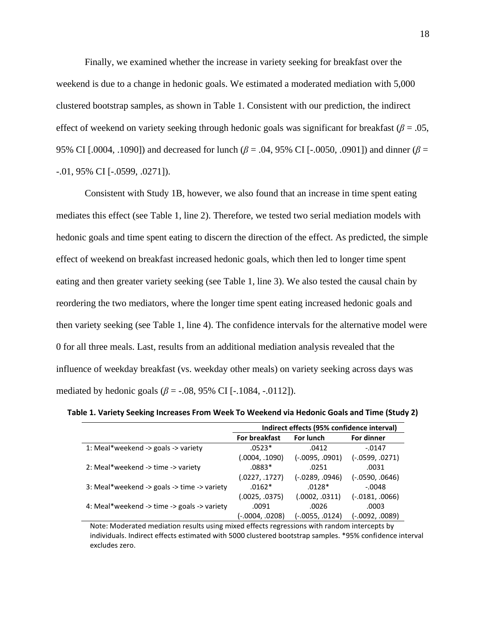Finally, we examined whether the increase in variety seeking for breakfast over the weekend is due to a change in hedonic goals. We estimated a moderated mediation with 5,000 clustered bootstrap samples, as shown in Table 1. Consistent with our prediction, the indirect effect of weekend on variety seeking through hedonic goals was significant for breakfast ( $\beta$  = .05, 95% CI [.0004, .1090]) and decreased for lunch (*β* = .04, 95% CI [-.0050, .0901]) and dinner (*β* = -.01, 95% CI [-.0599, .0271]).

Consistent with Study 1B, however, we also found that an increase in time spent eating mediates this effect (see Table 1, line 2). Therefore, we tested two serial mediation models with hedonic goals and time spent eating to discern the direction of the effect. As predicted, the simple effect of weekend on breakfast increased hedonic goals, which then led to longer time spent eating and then greater variety seeking (see Table 1, line 3). We also tested the causal chain by reordering the two mediators, where the longer time spent eating increased hedonic goals and then variety seeking (see Table 1, line 4). The confidence intervals for the alternative model were 0 for all three meals. Last, results from an additional mediation analysis revealed that the influence of weekday breakfast (vs. weekday other meals) on variety seeking across days was mediated by hedonic goals ( $\beta$  = -.08, 95% CI [-.1084, -.0112]).

**Table 1. Variety Seeking Increases From Week To Weekend via Hedonic Goals and Time (Study 2)**

|                                             | Indirect effects (95% confidence interval) |                   |                   |  |  |
|---------------------------------------------|--------------------------------------------|-------------------|-------------------|--|--|
|                                             | <b>For breakfast</b>                       | For lunch         | For dinner        |  |  |
| 1: Meal*weekend -> goals -> variety         | $.0523*$                                   | .0412             | $-0.0147$         |  |  |
|                                             | (.0004, .1090)                             | $(-.0095, .0901)$ | $(-.0599, .0271)$ |  |  |
| 2: Meal*weekend -> time -> variety          | $.0883*$                                   | .0251             | .0031             |  |  |
|                                             | (.0227, .1727)                             | (-.0289, .0946)   | $(-.0590, .0646)$ |  |  |
| 3: Meal*weekend -> goals -> time -> variety | $.0162*$                                   | $.0128*$          | $-.0048$          |  |  |
|                                             | (.0025, .0375)                             | (.0002, .0311)    | $(-.0181, .0066)$ |  |  |
| 4: Meal*weekend -> time -> goals -> variety | .0091                                      | .0026             | .0003             |  |  |
|                                             | (0208, 0208). •                            | (-.0055, .0124)   | (-.0092, .0089)   |  |  |

Note: Moderated mediation results using mixed effects regressions with random intercepts by individuals. Indirect effects estimated with 5000 clustered bootstrap samples. \*95% confidence interval excludes zero.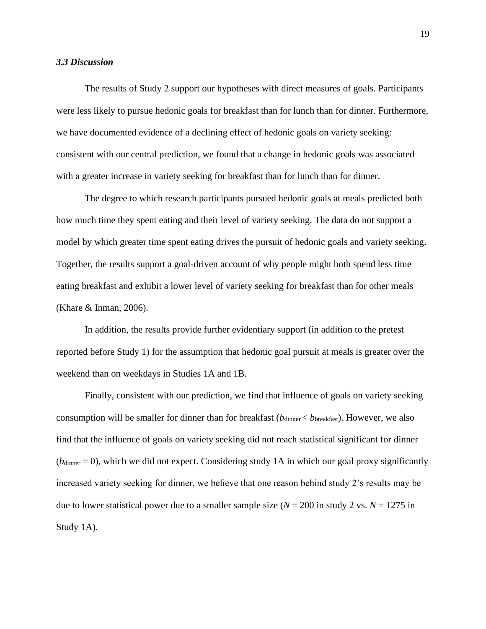#### *3.3 Discussion*

The results of Study 2 support our hypotheses with direct measures of goals. Participants were less likely to pursue hedonic goals for breakfast than for lunch than for dinner. Furthermore, we have documented evidence of a declining effect of hedonic goals on variety seeking: consistent with our central prediction, we found that a change in hedonic goals was associated with a greater increase in variety seeking for breakfast than for lunch than for dinner.

The degree to which research participants pursued hedonic goals at meals predicted both how much time they spent eating and their level of variety seeking. The data do not support a model by which greater time spent eating drives the pursuit of hedonic goals and variety seeking. Together, the results support a goal-driven account of why people might both spend less time eating breakfast and exhibit a lower level of variety seeking for breakfast than for other meals (Khare & Inman, 2006).

In addition, the results provide further evidentiary support (in addition to the pretest reported before Study 1) for the assumption that hedonic goal pursuit at meals is greater over the weekend than on weekdays in Studies 1A and 1B.

Finally, consistent with our prediction, we find that influence of goals on variety seeking consumption will be smaller for dinner than for breakfast ( $b_{\text{dinner}} < b_{\text{breakfast}}$ ). However, we also find that the influence of goals on variety seeking did not reach statistical significant for dinner  $(b_{\text{dimer}} = 0)$ , which we did not expect. Considering study 1A in which our goal proxy significantly increased variety seeking for dinner, we believe that one reason behind study 2's results may be due to lower statistical power due to a smaller sample size  $(N = 200$  in study 2 vs.  $N = 1275$  in Study 1A).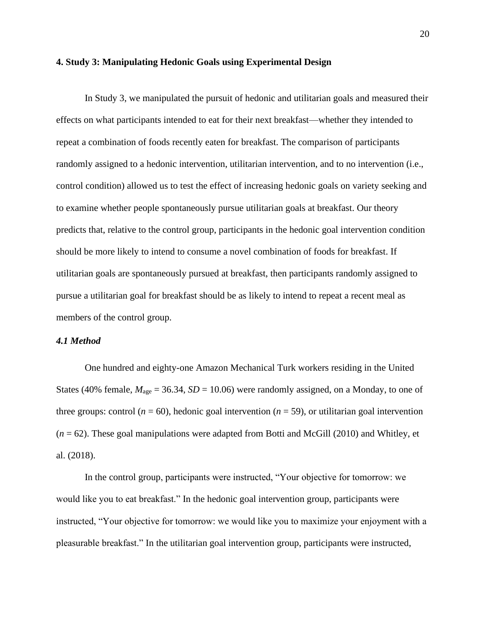#### **4. Study 3: Manipulating Hedonic Goals using Experimental Design**

In Study 3, we manipulated the pursuit of hedonic and utilitarian goals and measured their effects on what participants intended to eat for their next breakfast—whether they intended to repeat a combination of foods recently eaten for breakfast. The comparison of participants randomly assigned to a hedonic intervention, utilitarian intervention, and to no intervention (i.e., control condition) allowed us to test the effect of increasing hedonic goals on variety seeking and to examine whether people spontaneously pursue utilitarian goals at breakfast. Our theory predicts that, relative to the control group, participants in the hedonic goal intervention condition should be more likely to intend to consume a novel combination of foods for breakfast. If utilitarian goals are spontaneously pursued at breakfast, then participants randomly assigned to pursue a utilitarian goal for breakfast should be as likely to intend to repeat a recent meal as members of the control group.

## *4.1 Method*

One hundred and eighty-one Amazon Mechanical Turk workers residing in the United States (40% female,  $M_{\text{age}} = 36.34$ ,  $SD = 10.06$ ) were randomly assigned, on a Monday, to one of three groups: control ( $n = 60$ ), hedonic goal intervention ( $n = 59$ ), or utilitarian goal intervention (*n* = 62). These goal manipulations were adapted from Botti and McGill (2010) and Whitley, et al. (2018).

In the control group, participants were instructed, "Your objective for tomorrow: we would like you to eat breakfast." In the hedonic goal intervention group, participants were instructed, "Your objective for tomorrow: we would like you to maximize your enjoyment with a pleasurable breakfast." In the utilitarian goal intervention group, participants were instructed,

20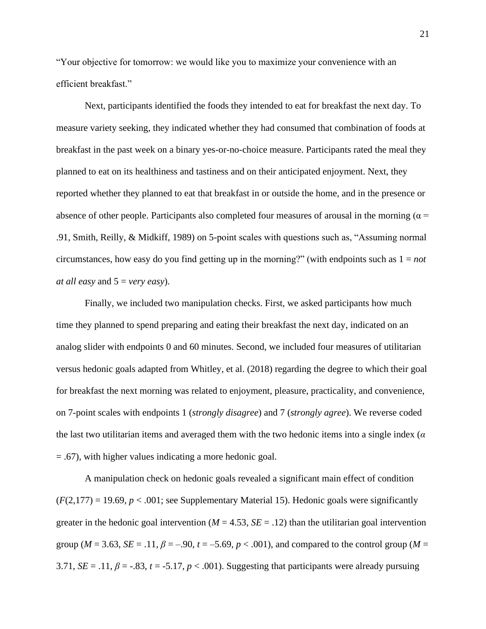"Your objective for tomorrow: we would like you to maximize your convenience with an efficient breakfast."

Next, participants identified the foods they intended to eat for breakfast the next day. To measure variety seeking, they indicated whether they had consumed that combination of foods at breakfast in the past week on a binary yes-or-no-choice measure. Participants rated the meal they planned to eat on its healthiness and tastiness and on their anticipated enjoyment. Next, they reported whether they planned to eat that breakfast in or outside the home, and in the presence or absence of other people. Participants also completed four measures of arousal in the morning ( $\alpha$  = .91, Smith, Reilly, & Midkiff, 1989) on 5-point scales with questions such as, "Assuming normal circumstances, how easy do you find getting up in the morning?" (with endpoints such as  $1 = not$ ) *at all easy* and 5 = *very easy*).

Finally, we included two manipulation checks. First, we asked participants how much time they planned to spend preparing and eating their breakfast the next day, indicated on an analog slider with endpoints 0 and 60 minutes. Second, we included four measures of utilitarian versus hedonic goals adapted from Whitley, et al. (2018) regarding the degree to which their goal for breakfast the next morning was related to enjoyment, pleasure, practicality, and convenience, on 7-point scales with endpoints 1 (*strongly disagree*) and 7 (*strongly agree*). We reverse coded the last two utilitarian items and averaged them with the two hedonic items into a single index (*α*  = .67), with higher values indicating a more hedonic goal.

A manipulation check on hedonic goals revealed a significant main effect of condition  $(F(2,177) = 19.69, p < .001$ ; see Supplementary Material 15). Hedonic goals were significantly greater in the hedonic goal intervention ( $M = 4.53$ ,  $SE = .12$ ) than the utilitarian goal intervention group ( $M = 3.63$ ,  $SE = .11$ ,  $\beta = -.90$ ,  $t = -5.69$ ,  $p < .001$ ), and compared to the control group ( $M =$ 3.71,  $SE = .11$ ,  $\beta = -.83$ ,  $t = .5.17$ ,  $p < .001$ ). Suggesting that participants were already pursuing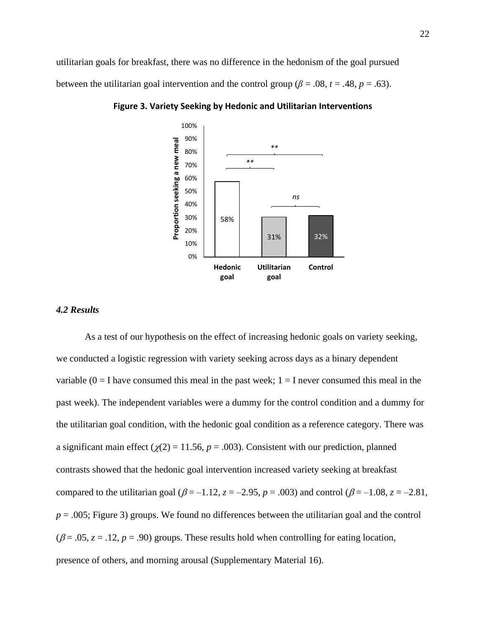utilitarian goals for breakfast, there was no difference in the hedonism of the goal pursued between the utilitarian goal intervention and the control group ( $\beta = .08$ ,  $t = .48$ ,  $p = .63$ ).



**Figure 3. Variety Seeking by Hedonic and Utilitarian Interventions**

#### *4.2 Results*

As a test of our hypothesis on the effect of increasing hedonic goals on variety seeking, we conducted a logistic regression with variety seeking across days as a binary dependent variable  $(0 = I)$  have consumed this meal in the past week;  $1 = I$  never consumed this meal in the past week). The independent variables were a dummy for the control condition and a dummy for the utilitarian goal condition, with the hedonic goal condition as a reference category. There was a significant main effect ( $\chi$ (2) = 11.56, *p* = .003). Consistent with our prediction, planned contrasts showed that the hedonic goal intervention increased variety seeking at breakfast compared to the utilitarian goal ( $\beta = -1.12$ ,  $z = -2.95$ ,  $p = .003$ ) and control ( $\beta = -1.08$ ,  $z = -2.81$ , *p* = .005; Figure 3) groups. We found no differences between the utilitarian goal and the control  $(\beta = .05, z = .12, p = .90)$  groups. These results hold when controlling for eating location, presence of others, and morning arousal (Supplementary Material 16).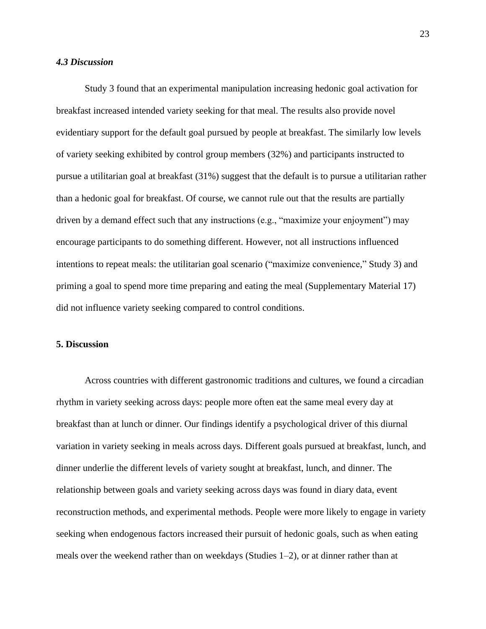#### *4.3 Discussion*

Study 3 found that an experimental manipulation increasing hedonic goal activation for breakfast increased intended variety seeking for that meal. The results also provide novel evidentiary support for the default goal pursued by people at breakfast. The similarly low levels of variety seeking exhibited by control group members (32%) and participants instructed to pursue a utilitarian goal at breakfast (31%) suggest that the default is to pursue a utilitarian rather than a hedonic goal for breakfast. Of course, we cannot rule out that the results are partially driven by a demand effect such that any instructions (e.g., "maximize your enjoyment") may encourage participants to do something different. However, not all instructions influenced intentions to repeat meals: the utilitarian goal scenario ("maximize convenience," Study 3) and priming a goal to spend more time preparing and eating the meal (Supplementary Material 17) did not influence variety seeking compared to control conditions.

#### **5. Discussion**

Across countries with different gastronomic traditions and cultures, we found a circadian rhythm in variety seeking across days: people more often eat the same meal every day at breakfast than at lunch or dinner. Our findings identify a psychological driver of this diurnal variation in variety seeking in meals across days. Different goals pursued at breakfast, lunch, and dinner underlie the different levels of variety sought at breakfast, lunch, and dinner. The relationship between goals and variety seeking across days was found in diary data, event reconstruction methods, and experimental methods. People were more likely to engage in variety seeking when endogenous factors increased their pursuit of hedonic goals, such as when eating meals over the weekend rather than on weekdays (Studies 1–2), or at dinner rather than at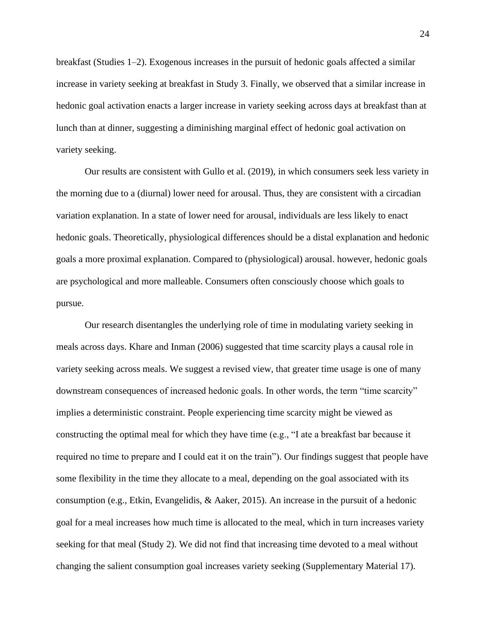breakfast (Studies 1–2). Exogenous increases in the pursuit of hedonic goals affected a similar increase in variety seeking at breakfast in Study 3. Finally, we observed that a similar increase in hedonic goal activation enacts a larger increase in variety seeking across days at breakfast than at lunch than at dinner, suggesting a diminishing marginal effect of hedonic goal activation on variety seeking.

Our results are consistent with Gullo et al. (2019), in which consumers seek less variety in the morning due to a (diurnal) lower need for arousal. Thus, they are consistent with a circadian variation explanation. In a state of lower need for arousal, individuals are less likely to enact hedonic goals. Theoretically, physiological differences should be a distal explanation and hedonic goals a more proximal explanation. Compared to (physiological) arousal. however, hedonic goals are psychological and more malleable. Consumers often consciously choose which goals to pursue.

Our research disentangles the underlying role of time in modulating variety seeking in meals across days. Khare and Inman (2006) suggested that time scarcity plays a causal role in variety seeking across meals. We suggest a revised view, that greater time usage is one of many downstream consequences of increased hedonic goals. In other words, the term "time scarcity" implies a deterministic constraint. People experiencing time scarcity might be viewed as constructing the optimal meal for which they have time (e.g., "I ate a breakfast bar because it required no time to prepare and I could eat it on the train"). Our findings suggest that people have some flexibility in the time they allocate to a meal, depending on the goal associated with its consumption (e.g., Etkin, Evangelidis, & Aaker, 2015). An increase in the pursuit of a hedonic goal for a meal increases how much time is allocated to the meal, which in turn increases variety seeking for that meal (Study 2). We did not find that increasing time devoted to a meal without changing the salient consumption goal increases variety seeking (Supplementary Material 17).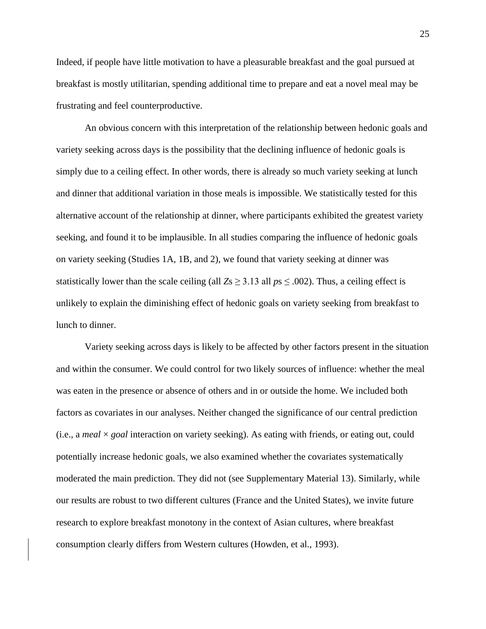Indeed, if people have little motivation to have a pleasurable breakfast and the goal pursued at breakfast is mostly utilitarian, spending additional time to prepare and eat a novel meal may be frustrating and feel counterproductive.

An obvious concern with this interpretation of the relationship between hedonic goals and variety seeking across days is the possibility that the declining influence of hedonic goals is simply due to a ceiling effect. In other words, there is already so much variety seeking at lunch and dinner that additional variation in those meals is impossible. We statistically tested for this alternative account of the relationship at dinner, where participants exhibited the greatest variety seeking, and found it to be implausible. In all studies comparing the influence of hedonic goals on variety seeking (Studies 1A, 1B, and 2), we found that variety seeking at dinner was statistically lower than the scale ceiling (all  $Z_s \geq 3.13$  all  $ps \leq .002$ ). Thus, a ceiling effect is unlikely to explain the diminishing effect of hedonic goals on variety seeking from breakfast to lunch to dinner.

Variety seeking across days is likely to be affected by other factors present in the situation and within the consumer. We could control for two likely sources of influence: whether the meal was eaten in the presence or absence of others and in or outside the home. We included both factors as covariates in our analyses. Neither changed the significance of our central prediction (i.e., a *meal* × *goal* interaction on variety seeking). As eating with friends, or eating out, could potentially increase hedonic goals, we also examined whether the covariates systematically moderated the main prediction. They did not (see Supplementary Material 13). Similarly, while our results are robust to two different cultures (France and the United States), we invite future research to explore breakfast monotony in the context of Asian cultures, where breakfast consumption clearly differs from Western cultures (Howden, et al., 1993).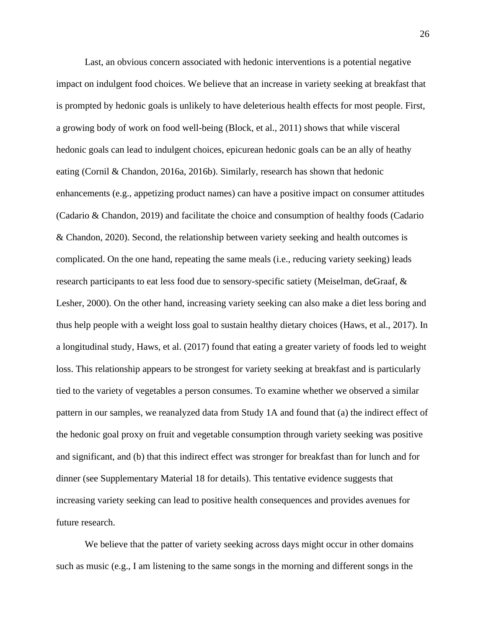Last, an obvious concern associated with hedonic interventions is a potential negative impact on indulgent food choices. We believe that an increase in variety seeking at breakfast that is prompted by hedonic goals is unlikely to have deleterious health effects for most people. First, a growing body of work on food well-being (Block, et al., 2011) shows that while visceral hedonic goals can lead to indulgent choices, epicurean hedonic goals can be an ally of heathy eating (Cornil & Chandon, 2016a, 2016b). Similarly, research has shown that hedonic enhancements (e.g., appetizing product names) can have a positive impact on consumer attitudes (Cadario & Chandon, 2019) and facilitate the choice and consumption of healthy foods (Cadario & Chandon, 2020). Second, the relationship between variety seeking and health outcomes is complicated. On the one hand, repeating the same meals (i.e., reducing variety seeking) leads research participants to eat less food due to sensory-specific satiety (Meiselman, deGraaf, & Lesher, 2000). On the other hand, increasing variety seeking can also make a diet less boring and thus help people with a weight loss goal to sustain healthy dietary choices (Haws, et al., 2017). In a longitudinal study, Haws, et al. (2017) found that eating a greater variety of foods led to weight loss. This relationship appears to be strongest for variety seeking at breakfast and is particularly tied to the variety of vegetables a person consumes. To examine whether we observed a similar pattern in our samples, we reanalyzed data from Study 1A and found that (a) the indirect effect of the hedonic goal proxy on fruit and vegetable consumption through variety seeking was positive and significant, and (b) that this indirect effect was stronger for breakfast than for lunch and for dinner (see Supplementary Material 18 for details). This tentative evidence suggests that increasing variety seeking can lead to positive health consequences and provides avenues for future research.

We believe that the patter of variety seeking across days might occur in other domains such as music (e.g., I am listening to the same songs in the morning and different songs in the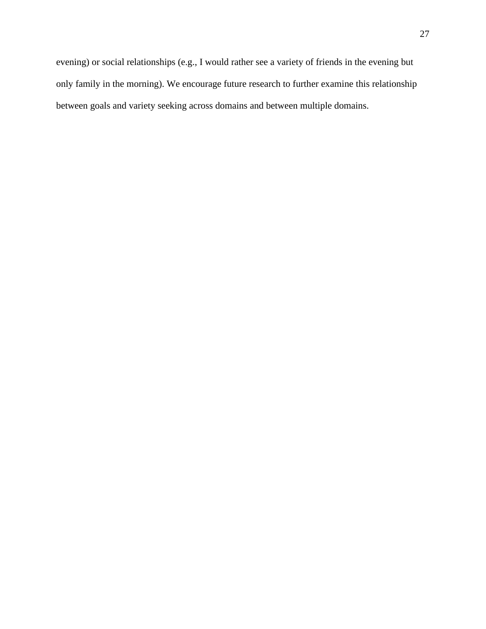evening) or social relationships (e.g., I would rather see a variety of friends in the evening but only family in the morning). We encourage future research to further examine this relationship between goals and variety seeking across domains and between multiple domains.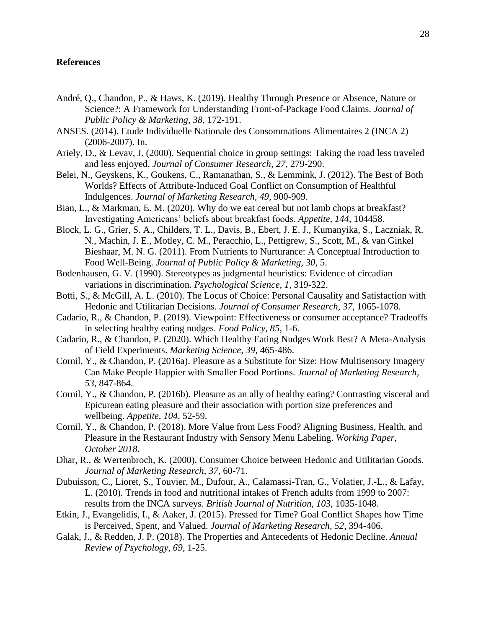#### **References**

- André, Q., Chandon, P., & Haws, K. (2019). Healthy Through Presence or Absence, Nature or Science?: A Framework for Understanding Front-of-Package Food Claims. *Journal of Public Policy & Marketing, 38*, 172-191.
- ANSES. (2014). Etude Individuelle Nationale des Consommations Alimentaires 2 (INCA 2) (2006-2007). In.
- Ariely, D., & Levav, J. (2000). Sequential choice in group settings: Taking the road less traveled and less enjoyed. *Journal of Consumer Research, 27*, 279-290.
- Belei, N., Geyskens, K., Goukens, C., Ramanathan, S., & Lemmink, J. (2012). The Best of Both Worlds? Effects of Attribute-Induced Goal Conflict on Consumption of Healthful Indulgences. *Journal of Marketing Research, 49*, 900-909.
- Bian, L., & Markman, E. M. (2020). Why do we eat cereal but not lamb chops at breakfast? Investigating Americans' beliefs about breakfast foods. *Appetite, 144*, 104458.
- Block, L. G., Grier, S. A., Childers, T. L., Davis, B., Ebert, J. E. J., Kumanyika, S., Laczniak, R. N., Machin, J. E., Motley, C. M., Peracchio, L., Pettigrew, S., Scott, M., & van Ginkel Bieshaar, M. N. G. (2011). From Nutrients to Nurturance: A Conceptual Introduction to Food Well-Being. *Journal of Public Policy & Marketing, 30*, 5.
- Bodenhausen, G. V. (1990). Stereotypes as judgmental heuristics: Evidence of circadian variations in discrimination. *Psychological Science, 1*, 319-322.
- Botti, S., & McGill, A. L. (2010). The Locus of Choice: Personal Causality and Satisfaction with Hedonic and Utilitarian Decisions. *Journal of Consumer Research, 37*, 1065-1078.
- Cadario, R., & Chandon, P. (2019). Viewpoint: Effectiveness or consumer acceptance? Tradeoffs in selecting healthy eating nudges. *Food Policy, 85*, 1-6.
- Cadario, R., & Chandon, P. (2020). Which Healthy Eating Nudges Work Best? A Meta-Analysis of Field Experiments. *Marketing Science, 39*, 465-486.
- Cornil, Y., & Chandon, P. (2016a). Pleasure as a Substitute for Size: How Multisensory Imagery Can Make People Happier with Smaller Food Portions. *Journal of Marketing Research, 53*, 847-864.
- Cornil, Y., & Chandon, P. (2016b). Pleasure as an ally of healthy eating? Contrasting visceral and Epicurean eating pleasure and their association with portion size preferences and wellbeing. *Appetite, 104*, 52-59.
- Cornil, Y., & Chandon, P. (2018). More Value from Less Food? Aligning Business, Health, and Pleasure in the Restaurant Industry with Sensory Menu Labeling. *Working Paper, October 2018.*
- Dhar, R., & Wertenbroch, K. (2000). Consumer Choice between Hedonic and Utilitarian Goods. *Journal of Marketing Research, 37*, 60-71.
- Dubuisson, C., Lioret, S., Touvier, M., Dufour, A., Calamassi-Tran, G., Volatier, J.-L., & Lafay, L. (2010). Trends in food and nutritional intakes of French adults from 1999 to 2007: results from the INCA surveys. *British Journal of Nutrition, 103*, 1035-1048.
- Etkin, J., Evangelidis, I., & Aaker, J. (2015). Pressed for Time? Goal Conflict Shapes how Time is Perceived, Spent, and Valued. *Journal of Marketing Research, 52*, 394-406.
- Galak, J., & Redden, J. P. (2018). The Properties and Antecedents of Hedonic Decline. *Annual Review of Psychology, 69*, 1-25.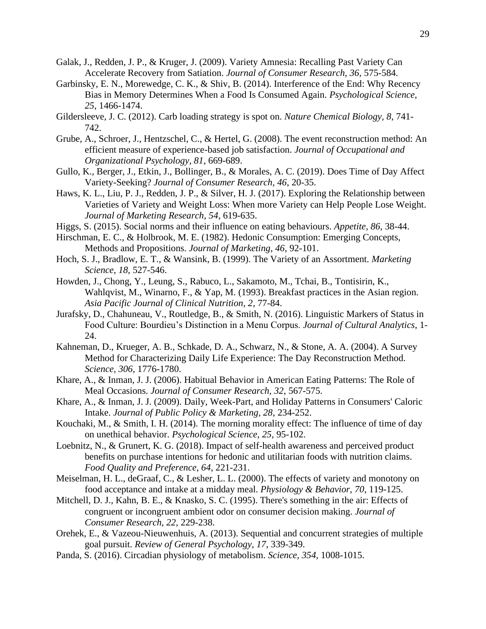- Galak, J., Redden, J. P., & Kruger, J. (2009). Variety Amnesia: Recalling Past Variety Can Accelerate Recovery from Satiation. *Journal of Consumer Research, 36*, 575-584.
- Garbinsky, E. N., Morewedge, C. K., & Shiv, B. (2014). Interference of the End: Why Recency Bias in Memory Determines When a Food Is Consumed Again. *Psychological Science, 25*, 1466-1474.
- Gildersleeve, J. C. (2012). Carb loading strategy is spot on. *Nature Chemical Biology, 8*, 741- 742.
- Grube, A., Schroer, J., Hentzschel, C., & Hertel, G. (2008). The event reconstruction method: An efficient measure of experience-based job satisfaction. *Journal of Occupational and Organizational Psychology, 81*, 669-689.
- Gullo, K., Berger, J., Etkin, J., Bollinger, B., & Morales, A. C. (2019). Does Time of Day Affect Variety-Seeking? *Journal of Consumer Research, 46*, 20-35.
- Haws, K. L., Liu, P. J., Redden, J. P., & Silver, H. J. (2017). Exploring the Relationship between Varieties of Variety and Weight Loss: When more Variety can Help People Lose Weight. *Journal of Marketing Research, 54*, 619-635.
- Higgs, S. (2015). Social norms and their influence on eating behaviours. *Appetite, 86*, 38-44.
- Hirschman, E. C., & Holbrook, M. E. (1982). Hedonic Consumption: Emerging Concepts, Methods and Propositions. *Journal of Marketing, 46*, 92-101.
- Hoch, S. J., Bradlow, E. T., & Wansink, B. (1999). The Variety of an Assortment. *Marketing Science, 18*, 527-546.
- Howden, J., Chong, Y., Leung, S., Rabuco, L., Sakamoto, M., Tchai, B., Tontisirin, K., Wahlqvist, M., Winarno, F., & Yap, M. (1993). Breakfast practices in the Asian region. *Asia Pacific Journal of Clinical Nutrition, 2*, 77-84.
- Jurafsky, D., Chahuneau, V., Routledge, B., & Smith, N. (2016). Linguistic Markers of Status in Food Culture: Bourdieu's Distinction in a Menu Corpus. *Journal of Cultural Analytics*, 1- 24.
- Kahneman, D., Krueger, A. B., Schkade, D. A., Schwarz, N., & Stone, A. A. (2004). A Survey Method for Characterizing Daily Life Experience: The Day Reconstruction Method. *Science, 306*, 1776-1780.
- Khare, A., & Inman, J. J. (2006). Habitual Behavior in American Eating Patterns: The Role of Meal Occasions. *Journal of Consumer Research, 32*, 567-575.
- Khare, A., & Inman, J. J. (2009). Daily, Week-Part, and Holiday Patterns in Consumers' Caloric Intake. *Journal of Public Policy & Marketing, 28*, 234-252.
- Kouchaki, M., & Smith, I. H. (2014). The morning morality effect: The influence of time of day on unethical behavior. *Psychological Science, 25*, 95-102.
- Loebnitz, N., & Grunert, K. G. (2018). Impact of self-health awareness and perceived product benefits on purchase intentions for hedonic and utilitarian foods with nutrition claims. *Food Quality and Preference, 64*, 221-231.
- Meiselman, H. L., deGraaf, C., & Lesher, L. L. (2000). The effects of variety and monotony on food acceptance and intake at a midday meal. *Physiology & Behavior, 70*, 119-125.
- Mitchell, D. J., Kahn, B. E., & Knasko, S. C. (1995). There's something in the air: Effects of congruent or incongruent ambient odor on consumer decision making. *Journal of Consumer Research, 22*, 229-238.
- Orehek, E., & Vazeou-Nieuwenhuis, A. (2013). Sequential and concurrent strategies of multiple goal pursuit. *Review of General Psychology, 17*, 339-349.
- Panda, S. (2016). Circadian physiology of metabolism. *Science, 354*, 1008-1015.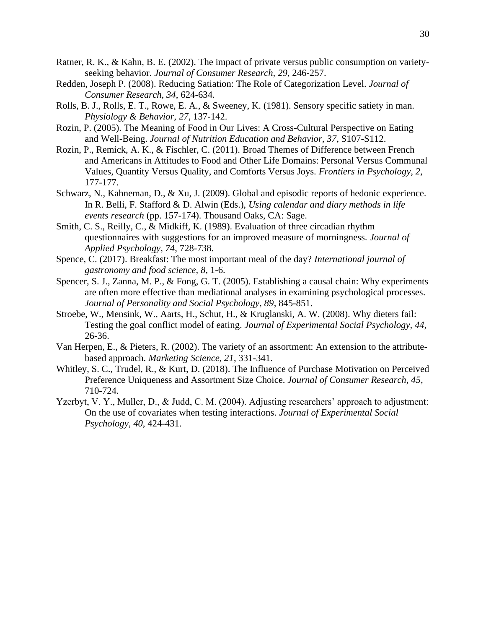- Ratner, R. K., & Kahn, B. E. (2002). The impact of private versus public consumption on varietyseeking behavior. *Journal of Consumer Research, 29*, 246-257.
- Redden, Joseph P. (2008). Reducing Satiation: The Role of Categorization Level. *Journal of Consumer Research, 34*, 624-634.
- Rolls, B. J., Rolls, E. T., Rowe, E. A., & Sweeney, K. (1981). Sensory specific satiety in man. *Physiology & Behavior, 27*, 137-142.
- Rozin, P. (2005). The Meaning of Food in Our Lives: A Cross-Cultural Perspective on Eating and Well-Being. *Journal of Nutrition Education and Behavior, 37*, S107-S112.
- Rozin, P., Remick, A. K., & Fischler, C. (2011). Broad Themes of Difference between French and Americans in Attitudes to Food and Other Life Domains: Personal Versus Communal Values, Quantity Versus Quality, and Comforts Versus Joys. *Frontiers in Psychology, 2*, 177-177.
- Schwarz, N., Kahneman, D., & Xu, J. (2009). Global and episodic reports of hedonic experience. In R. Belli, F. Stafford & D. Alwin (Eds.), *Using calendar and diary methods in life events research* (pp. 157-174). Thousand Oaks, CA: Sage.
- Smith, C. S., Reilly, C., & Midkiff, K. (1989). Evaluation of three circadian rhythm questionnaires with suggestions for an improved measure of morningness. *Journal of Applied Psychology, 74*, 728-738.
- Spence, C. (2017). Breakfast: The most important meal of the day? *International journal of gastronomy and food science, 8*, 1-6.
- Spencer, S. J., Zanna, M. P., & Fong, G. T. (2005). Establishing a causal chain: Why experiments are often more effective than mediational analyses in examining psychological processes. *Journal of Personality and Social Psychology, 89*, 845-851.
- Stroebe, W., Mensink, W., Aarts, H., Schut, H., & Kruglanski, A. W. (2008). Why dieters fail: Testing the goal conflict model of eating. *Journal of Experimental Social Psychology, 44*, 26-36.
- Van Herpen, E., & Pieters, R. (2002). The variety of an assortment: An extension to the attributebased approach. *Marketing Science, 21*, 331-341.
- Whitley, S. C., Trudel, R., & Kurt, D. (2018). The Influence of Purchase Motivation on Perceived Preference Uniqueness and Assortment Size Choice. *Journal of Consumer Research, 45*, 710-724.
- Yzerbyt, V. Y., Muller, D., & Judd, C. M. (2004). Adjusting researchers' approach to adjustment: On the use of covariates when testing interactions. *Journal of Experimental Social Psychology, 40*, 424-431.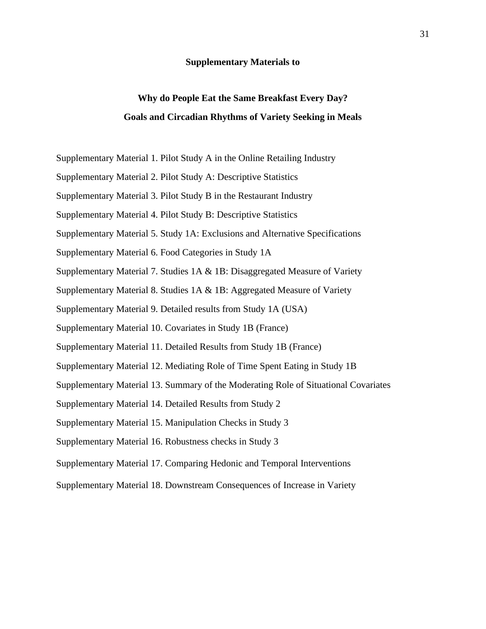#### **Supplementary Materials to**

## **Why do People Eat the Same Breakfast Every Day? Goals and Circadian Rhythms of Variety Seeking in Meals**

- Supplementary Material 1. Pilot Study A in the Online Retailing Industry
- Supplementary Material 2. Pilot Study A: Descriptive Statistics
- Supplementary Material 3. Pilot Study B in the Restaurant Industry
- Supplementary Material 4. Pilot Study B: Descriptive Statistics
- Supplementary Material 5. Study 1A: Exclusions and Alternative Specifications
- Supplementary Material 6. Food Categories in Study 1A
- Supplementary Material 7. Studies 1A & 1B: Disaggregated Measure of Variety
- Supplementary Material 8. Studies 1A & 1B: Aggregated Measure of Variety
- Supplementary Material 9. Detailed results from Study 1A (USA)
- Supplementary Material 10. Covariates in Study 1B (France)
- Supplementary Material 11. Detailed Results from Study 1B (France)
- Supplementary Material 12. Mediating Role of Time Spent Eating in Study 1B
- Supplementary Material 13. Summary of the Moderating Role of Situational Covariates
- Supplementary Material 14. Detailed Results from Study 2
- Supplementary Material 15. Manipulation Checks in Study 3
- Supplementary Material 16. Robustness checks in Study 3
- Supplementary Material 17. Comparing Hedonic and Temporal Interventions
- Supplementary Material 18. Downstream Consequences of Increase in Variety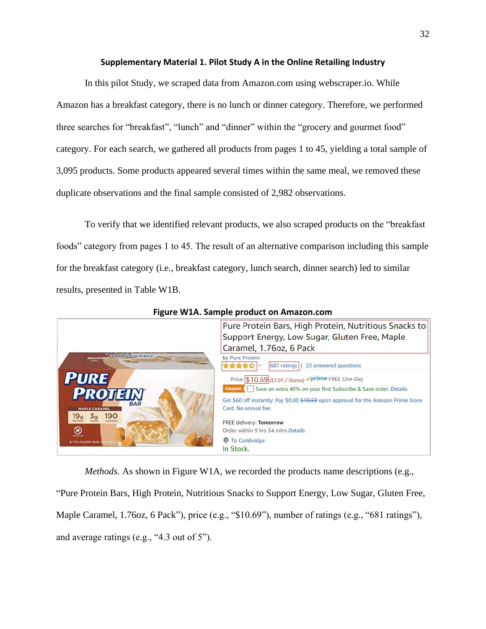#### **Supplementary Material 1. Pilot Study A in the Online Retailing Industry**

In this pilot Study, we scraped data from Amazon.com using webscraper.io. While Amazon has a breakfast category, there is no lunch or dinner category. Therefore, we performed three searches for "breakfast", "lunch" and "dinner" within the "grocery and gourmet food" category. For each search, we gathered all products from pages 1 to 45, yielding a total sample of 3,095 products. Some products appeared several times within the same meal, we removed these duplicate observations and the final sample consisted of 2,982 observations.

To verify that we identified relevant products, we also scraped products on the "breakfast foods" category from pages 1 to 45. The result of an alternative comparison including this sample for the breakfast category (i.e., breakfast category, lunch search, dinner search) led to similar results, presented in Table W1B.



**Figure W1A. Sample product on Amazon.com**

*Methods*. As shown in Figure W1A, we recorded the products name descriptions (e.g.,

"Pure Protein Bars, High Protein, Nutritious Snacks to Support Energy, Low Sugar, Gluten Free, Maple Caramel, 1.76oz, 6 Pack"), price (e.g., "\$10.69"), number of ratings (e.g., "681 ratings"), and average ratings (e.g., "4.3 out of 5").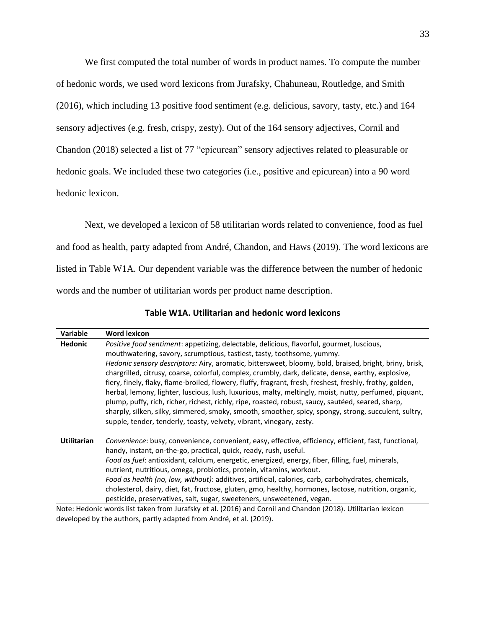We first computed the total number of words in product names. To compute the number of hedonic words, we used word lexicons from Jurafsky, Chahuneau, Routledge, and Smith (2016), which including 13 positive food sentiment (e.g. delicious, savory, tasty, etc.) and 164 sensory adjectives (e.g. fresh, crispy, zesty). Out of the 164 sensory adjectives, Cornil and Chandon (2018) selected a list of 77 "epicurean" sensory adjectives related to pleasurable or hedonic goals. We included these two categories (i.e., positive and epicurean) into a 90 word hedonic lexicon.

Next, we developed a lexicon of 58 utilitarian words related to convenience, food as fuel and food as health, party adapted from André, Chandon, and Haws (2019). The word lexicons are listed in Table W1A. Our dependent variable was the difference between the number of hedonic words and the number of utilitarian words per product name description.

| Variable           | <b>Word lexicon</b>                                                                                                                                                                                          |
|--------------------|--------------------------------------------------------------------------------------------------------------------------------------------------------------------------------------------------------------|
| <b>Hedonic</b>     | <i>Positive food sentiment: appetizing, delectable, delicious, flavorful, gourmet, luscious,</i>                                                                                                             |
|                    | mouthwatering, savory, scrumptious, tastiest, tasty, toothsome, yummy.                                                                                                                                       |
|                    | Hedonic sensory descriptors: Airy, aromatic, bittersweet, bloomy, bold, braised, bright, briny, brisk,                                                                                                       |
|                    | chargrilled, citrusy, coarse, colorful, complex, crumbly, dark, delicate, dense, earthy, explosive,                                                                                                          |
|                    | fiery, finely, flaky, flame-broiled, flowery, fluffy, fragrant, fresh, freshest, freshly, frothy, golden,                                                                                                    |
|                    | herbal, lemony, lighter, luscious, lush, luxurious, malty, meltingly, moist, nutty, perfumed, piquant,<br>plump, puffy, rich, richer, richest, richly, ripe, roasted, robust, saucy, sautéed, seared, sharp, |
|                    | sharply, silken, silky, simmered, smoky, smooth, smoother, spicy, spongy, strong, succulent, sultry,                                                                                                         |
|                    | supple, tender, tenderly, toasty, velvety, vibrant, vinegary, zesty.                                                                                                                                         |
| <b>Utilitarian</b> | Convenience: busy, convenience, convenient, easy, effective, efficiency, efficient, fast, functional,<br>handy, instant, on-the-go, practical, quick, ready, rush, useful.                                   |
|                    | Food as fuel: antioxidant, calcium, energetic, energized, energy, fiber, filling, fuel, minerals,<br>nutrient, nutritious, omega, probiotics, protein, vitamins, workout.                                    |
|                    | Food as health (no, low, without): additives, artificial, calories, carb, carbohydrates, chemicals,                                                                                                          |
|                    | cholesterol, dairy, diet, fat, fructose, gluten, gmo, healthy, hormones, lactose, nutrition, organic,                                                                                                        |
|                    | pesticide, preservatives, salt, sugar, sweeteners, unsweetened, vegan.                                                                                                                                       |
|                    | Note: Hedonic words list taken from Jurafsky et al. (2016) and Cornil and Chandon (2018). Utilitarian lexicon                                                                                                |

**Table W1A. Utilitarian and hedonic word lexicons**

Note: Hedonic words list taken from Jurafsky et al. (2016) and Cornil and Chandon (2018). Utilitarian lexicon developed by the authors, partly adapted from André, et al. (2019).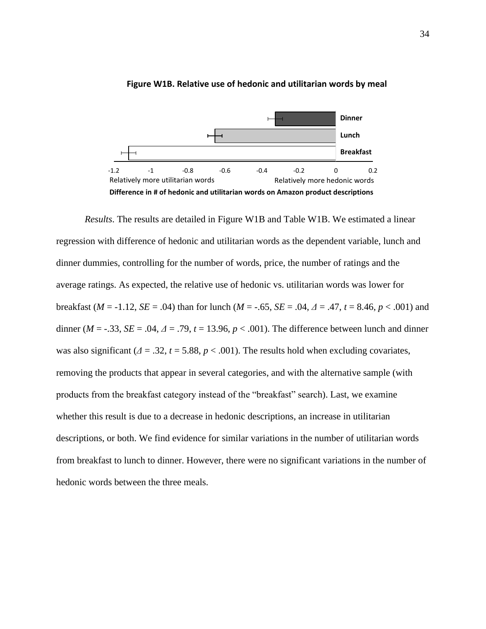

#### **Figure W1B. Relative use of hedonic and utilitarian words by meal**

*Results*. The results are detailed in Figure W1B and Table W1B. We estimated a linear regression with difference of hedonic and utilitarian words as the dependent variable, lunch and dinner dummies, controlling for the number of words, price, the number of ratings and the average ratings. As expected, the relative use of hedonic vs. utilitarian words was lower for breakfast ( $M = -1.12$ ,  $SE = .04$ ) than for lunch ( $M = -.65$ ,  $SE = .04$ ,  $\Delta = .47$ ,  $t = 8.46$ ,  $p < .001$ ) and dinner ( $M = -0.33$ ,  $SE = 0.04$ ,  $\Delta = 0.79$ ,  $t = 13.96$ ,  $p < 0.001$ ). The difference between lunch and dinner was also significant (*Δ* = .32, *t* = 5.88, *p* < .001). The results hold when excluding covariates, removing the products that appear in several categories, and with the alternative sample (with products from the breakfast category instead of the "breakfast" search). Last, we examine whether this result is due to a decrease in hedonic descriptions, an increase in utilitarian descriptions, or both. We find evidence for similar variations in the number of utilitarian words from breakfast to lunch to dinner. However, there were no significant variations in the number of hedonic words between the three meals.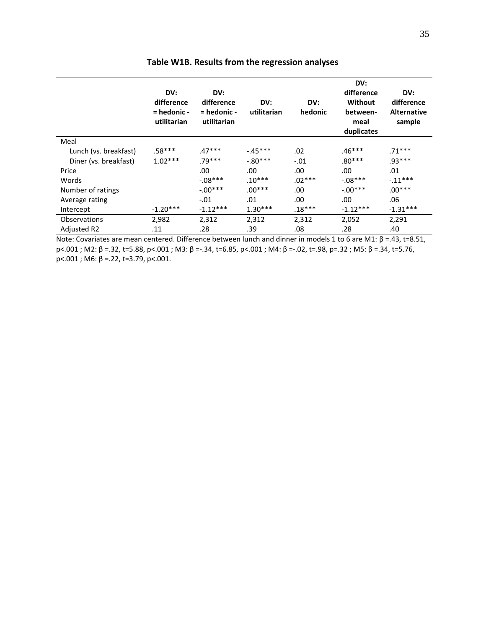|                       | DV:<br>difference<br>= hedonic -<br>utilitarian | DV:<br>difference<br>$=$ hedonic -<br>utilitarian | DV:<br>utilitarian | DV:<br>hedonic | DV:<br>difference<br>Without<br>between-<br>meal<br>duplicates | DV:<br>difference<br><b>Alternative</b><br>sample |
|-----------------------|-------------------------------------------------|---------------------------------------------------|--------------------|----------------|----------------------------------------------------------------|---------------------------------------------------|
| Meal                  |                                                 |                                                   |                    |                |                                                                |                                                   |
| Lunch (vs. breakfast) | $.58***$                                        | $.47***$                                          | $-45***$           | .02            | $.46***$                                                       | $.71***$                                          |
| Diner (vs. breakfast) | $1.02***$                                       | $.79***$                                          | $-0.80***$         | $-.01$         | $.80***$                                                       | $.93***$                                          |
| Price                 |                                                 | .00                                               | .00                | .00            | .00                                                            | .01                                               |
| Words                 |                                                 | $-08***$                                          | $.10***$           | $.02***$       | $-.08***$                                                      | $-.11***$                                         |
| Number of ratings     |                                                 | $-0.00***$                                        | $.00***$           | .00            | $-.00***$                                                      | $.00***$                                          |
| Average rating        |                                                 | $-.01$                                            | .01                | .00            | .00                                                            | .06                                               |
| Intercept             | $-1.20***$                                      | $-1.12***$                                        | $1.30***$          | $.18***$       | $-1.12***$                                                     | $-1.31***$                                        |
| Observations          | 2,982                                           | 2,312                                             | 2,312              | 2,312          | 2,052                                                          | 2,291                                             |
| <b>Adjusted R2</b>    | .11                                             | .28                                               | .39                | .08            | .28                                                            | .40                                               |

## **Table W1B. Results from the regression analyses**

Note: Covariates are mean centered. Difference between lunch and dinner in models 1 to 6 are M1: β =.43, t=8.51, p<.001 ; M2: β =.32, t=5.88, p<.001 ; M3: β =-.34, t=6.85, p<.001 ; M4: β =-.02, t=.98, p=.32 ; M5: β =.34, t=5.76,  $p<.001$ ; M6: β =.22, t=3.79, p<.001.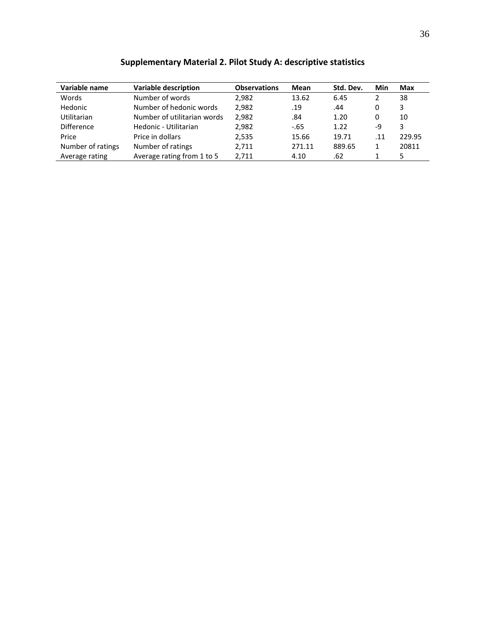| Variable name     | <b>Variable description</b> | <b>Observations</b> | Mean   | Std. Dev. | Min | Max    |
|-------------------|-----------------------------|---------------------|--------|-----------|-----|--------|
| Words             | Number of words             | 2.982               | 13.62  | 6.45      | 2   | 38     |
| Hedonic           | Number of hedonic words     | 2,982               | .19    | .44       | 0   | 3      |
| Utilitarian       | Number of utilitarian words | 2,982               | .84    | 1.20      | 0   | 10     |
| <b>Difference</b> | Hedonic - Utilitarian       | 2,982               | $-65$  | 1.22      | -9  | 3      |
| Price             | Price in dollars            | 2,535               | 15.66  | 19.71     | .11 | 229.95 |
| Number of ratings | Number of ratings           | 2.711               | 271.11 | 889.65    | 1   | 20811  |
| Average rating    | Average rating from 1 to 5  | 2,711               | 4.10   | .62       |     |        |

## **Supplementary Material 2. Pilot Study A: descriptive statistics**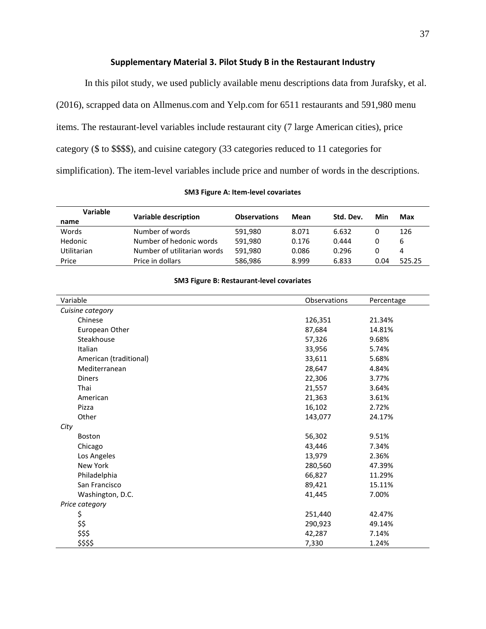## **Supplementary Material 3. Pilot Study B in the Restaurant Industry**

In this pilot study, we used publicly available menu descriptions data from Jurafsky, et al. (2016), scrapped data on Allmenus.com and Yelp.com for 6511 restaurants and 591,980 menu items. The restaurant-level variables include restaurant city (7 large American cities), price category (\$ to \$\$\$\$), and cuisine category (33 categories reduced to 11 categories for simplification). The item-level variables include price and number of words in the descriptions.

#### **SM3 Figure A: Item-level covariates**

| <b>Variable</b>    | <b>Variable description</b> | <b>Observations</b> | Mean  | Std. Dev. | Min  | Max    |
|--------------------|-----------------------------|---------------------|-------|-----------|------|--------|
| name               |                             |                     |       |           |      |        |
| Words              | Number of words             | 591.980             | 8.071 | 6.632     |      | 126    |
| Hedonic            | Number of hedonic words     | 591.980             | 0.176 | 0.444     |      | ь      |
| <b>Utilitarian</b> | Number of utilitarian words | 591.980             | 0.086 | 0.296     | 0    |        |
| Price              | Price in dollars            | 586,986             | 8.999 | 6.833     | 0.04 | 525.25 |

#### **SM3 Figure B: Restaurant-level covariates**

| Variable               | Observations | Percentage |
|------------------------|--------------|------------|
| Cuisine category       |              |            |
| Chinese                | 126,351      | 21.34%     |
| European Other         | 87,684       | 14.81%     |
| Steakhouse             | 57,326       | 9.68%      |
| Italian                | 33,956       | 5.74%      |
| American (traditional) | 33,611       | 5.68%      |
| Mediterranean          | 28,647       | 4.84%      |
| <b>Diners</b>          | 22,306       | 3.77%      |
| Thai                   | 21,557       | 3.64%      |
| American               | 21,363       | 3.61%      |
| Pizza                  | 16,102       | 2.72%      |
| Other                  | 143,077      | 24.17%     |
| City                   |              |            |
| <b>Boston</b>          | 56,302       | 9.51%      |
| Chicago                | 43,446       | 7.34%      |
| Los Angeles            | 13,979       | 2.36%      |
| New York               | 280,560      | 47.39%     |
| Philadelphia           | 66,827       | 11.29%     |
| San Francisco          | 89,421       | 15.11%     |
| Washington, D.C.       | 41,445       | 7.00%      |
| Price category         |              |            |
| \$                     | 251,440      | 42.47%     |
| \$\$                   | 290,923      | 49.14%     |
| \$\$\$                 | 42,287       | 7.14%      |
| \$\$\$\$               | 7,330        | 1.24%      |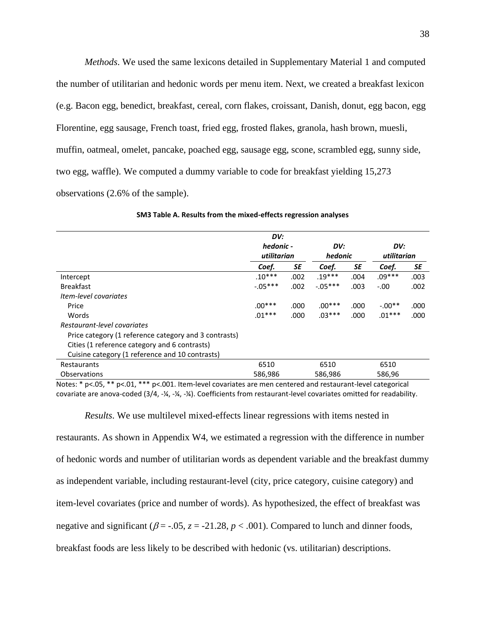*Methods*. We used the same lexicons detailed in Supplementary Material 1 and computed the number of utilitarian and hedonic words per menu item. Next, we created a breakfast lexicon (e.g. Bacon egg, benedict, breakfast, cereal, corn flakes, croissant, Danish, donut, egg bacon, egg Florentine, egg sausage, French toast, fried egg, frosted flakes, granola, hash brown, muesli, muffin, oatmeal, omelet, pancake, poached egg, sausage egg, scone, scrambled egg, sunny side, two egg, waffle). We computed a dummy variable to code for breakfast yielding 15,273 observations (2.6% of the sample).

|                                                       | DV:         |      |           |      |             |      |
|-------------------------------------------------------|-------------|------|-----------|------|-------------|------|
|                                                       | hedonic -   |      | DV:       |      | DV:         |      |
|                                                       | utilitarian |      | hedonic   |      | utilitarian |      |
|                                                       | Coef.       | SE   | Coef.     | SE   | Coef.       | SE   |
| Intercept                                             | $.10***$    | .002 | $.19***$  | .004 | $.09***$    | .003 |
| <b>Breakfast</b>                                      | $-0.05***$  | .002 | $-.05***$ | .003 | $-.00$      | .002 |
| Item-level covariates                                 |             |      |           |      |             |      |
| Price                                                 | $.00***$    | .000 | $.00***$  | .000 | $-.00**$    | .000 |
| Words                                                 | $.01***$    | .000 | $.03***$  | .000 | $.01***$    | .000 |
| Restaurant-level covariates                           |             |      |           |      |             |      |
| Price category (1 reference category and 3 contrasts) |             |      |           |      |             |      |
| Cities (1 reference category and 6 contrasts)         |             |      |           |      |             |      |
| Cuisine category (1 reference and 10 contrasts)       |             |      |           |      |             |      |
| Restaurants                                           | 6510        |      | 6510      |      | 6510        |      |
| Observations                                          | 586,986     |      | 586,986   |      | 586,96      |      |

| SM3 Table A. Results from the mixed-effects regression analyses |  |  |  |  |  |
|-----------------------------------------------------------------|--|--|--|--|--|
|-----------------------------------------------------------------|--|--|--|--|--|

Notes: \* p<.05, \*\* p<.01, \*\*\* p<.001. Item-level covariates are men centered and restaurant-level categorical covariate are anova-coded (3/4, -¼, -¼, -¼). Coefficients from restaurant-level covariates omitted for readability.

*Results*. We use multilevel mixed-effects linear regressions with items nested in restaurants. As shown in Appendix W4, we estimated a regression with the difference in number of hedonic words and number of utilitarian words as dependent variable and the breakfast dummy as independent variable, including restaurant-level (city, price category, cuisine category) and item-level covariates (price and number of words). As hypothesized, the effect of breakfast was negative and significant ( $\beta$  = -.05,  $z$  = -21.28,  $p$  < .001). Compared to lunch and dinner foods, breakfast foods are less likely to be described with hedonic (vs. utilitarian) descriptions.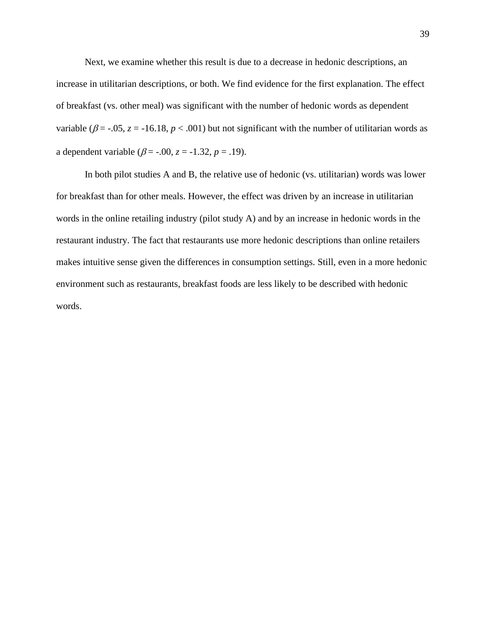Next, we examine whether this result is due to a decrease in hedonic descriptions, an increase in utilitarian descriptions, or both. We find evidence for the first explanation. The effect of breakfast (vs. other meal) was significant with the number of hedonic words as dependent variable ( $\beta$  = -.05, *z* = -16.18, *p* < .001) but not significant with the number of utilitarian words as a dependent variable ( $\beta$  = -.00,  $z$  = -1.32,  $p$  = .19).

In both pilot studies A and B, the relative use of hedonic (vs. utilitarian) words was lower for breakfast than for other meals. However, the effect was driven by an increase in utilitarian words in the online retailing industry (pilot study A) and by an increase in hedonic words in the restaurant industry. The fact that restaurants use more hedonic descriptions than online retailers makes intuitive sense given the differences in consumption settings. Still, even in a more hedonic environment such as restaurants, breakfast foods are less likely to be described with hedonic words.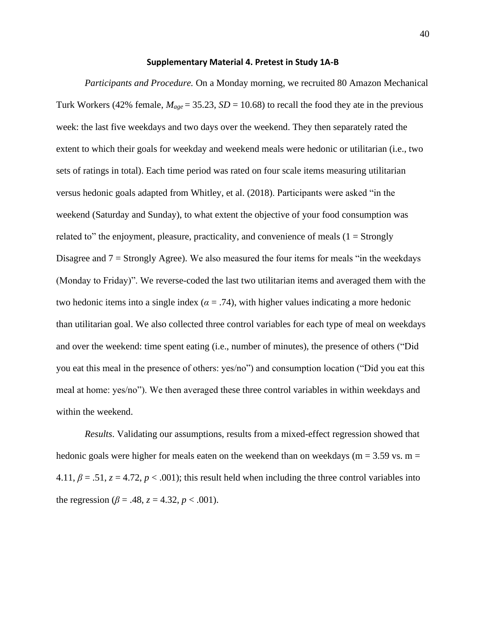#### **Supplementary Material 4. Pretest in Study 1A-B**

*Participants and Procedure.* On a Monday morning, we recruited 80 Amazon Mechanical Turk Workers (42% female,  $M_{age} = 35.23$ ,  $SD = 10.68$ ) to recall the food they ate in the previous week: the last five weekdays and two days over the weekend. They then separately rated the extent to which their goals for weekday and weekend meals were hedonic or utilitarian (i.e., two sets of ratings in total). Each time period was rated on four scale items measuring utilitarian versus hedonic goals adapted from Whitley, et al. (2018). Participants were asked "in the weekend (Saturday and Sunday), to what extent the objective of your food consumption was related to" the enjoyment, pleasure, practicality, and convenience of meals  $(1 = \text{Strongly})$ Disagree and  $7 =$  Strongly Agree). We also measured the four items for meals "in the weekdays" (Monday to Friday)". We reverse-coded the last two utilitarian items and averaged them with the two hedonic items into a single index  $(a = .74)$ , with higher values indicating a more hedonic than utilitarian goal. We also collected three control variables for each type of meal on weekdays and over the weekend: time spent eating (i.e., number of minutes), the presence of others ("Did you eat this meal in the presence of others: yes/no") and consumption location ("Did you eat this meal at home: yes/no"). We then averaged these three control variables in within weekdays and within the weekend.

*Results*. Validating our assumptions, results from a mixed-effect regression showed that hedonic goals were higher for meals eaten on the weekend than on weekdays ( $m = 3.59$  vs.  $m =$ 4.11,  $\beta = 0.51$ ,  $z = 4.72$ ,  $p < 0.001$ ); this result held when including the three control variables into the regression ( $\beta$  = .48,  $z$  = 4.32,  $p$  < .001).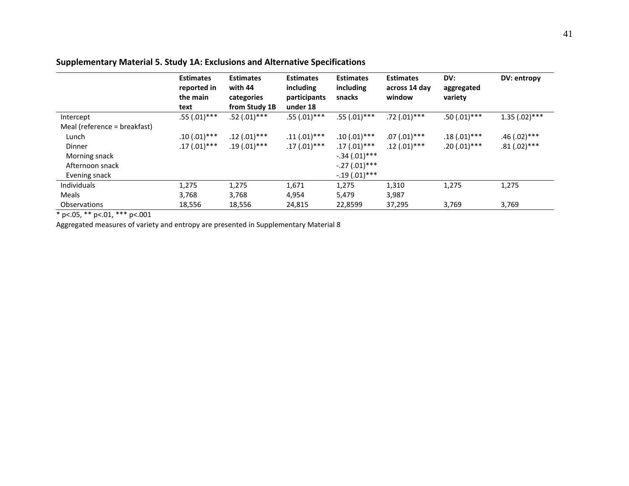## **Supplementary Material 5. Study 1A: Exclusions and Alternative Specifications**

|                              | <b>Estimates</b><br>reported in<br>the main<br>text | <b>Estimates</b><br>with 44<br>categories<br>from Study 1B | <b>Estimates</b><br>including<br>participants<br>under 18 | <b>Estimates</b><br>including<br>snacks | <b>Estimates</b><br>across 14 day<br>window | DV:<br>aggregated<br>variety | DV: entropy     |
|------------------------------|-----------------------------------------------------|------------------------------------------------------------|-----------------------------------------------------------|-----------------------------------------|---------------------------------------------|------------------------------|-----------------|
| Intercept                    | $.55(.01)$ ***                                      | $.52(.01)$ ***                                             | $.55(.01)$ ***                                            | $.55(.01)$ ***                          | $.72(.01)$ ***                              | $.50(.01)$ ***               | $1.35(.02)$ *** |
| Meal (reference = breakfast) |                                                     |                                                            |                                                           |                                         |                                             |                              |                 |
| Lunch                        | $.10(.01)$ ***                                      | $.12(.01)$ ***                                             | $.11(.01)$ ***                                            | $.10(.01)$ ***                          | $.07(.01)$ ***                              | $.18(.01)$ ***               | $.46(.02)$ ***  |
| Dinner                       | $.17(.01)$ ***                                      | $.19(.01)***$                                              | $.17(.01)***$                                             | $.17(.01)$ ***                          | $.12(.01)$ ***                              | $.20(.01)$ ***               | $.81(.02)$ ***  |
| Morning snack                |                                                     |                                                            |                                                           | $-.34(.01)$ ***                         |                                             |                              |                 |
| Afternoon snack              |                                                     |                                                            |                                                           | $-.27(.01)$ ***                         |                                             |                              |                 |
| Evening snack                |                                                     |                                                            |                                                           | $-.19(.01)$ ***                         |                                             |                              |                 |
| <b>Individuals</b>           | 1,275                                               | 1,275                                                      | 1,671                                                     | 1,275                                   | 1,310                                       | 1,275                        | 1,275           |
| Meals                        | 3,768                                               | 3,768                                                      | 4,954                                                     | 5,479                                   | 3,987                                       |                              |                 |
| Observations                 | 18,556                                              | 18,556                                                     | 24,815                                                    | 22,8599                                 | 37,295                                      | 3,769                        | 3,769           |

 $*$  p<.05, \*\* p<.01, \*\*\* p<.001

Aggregated measures of variety and entropy are presented in Supplementary Material 8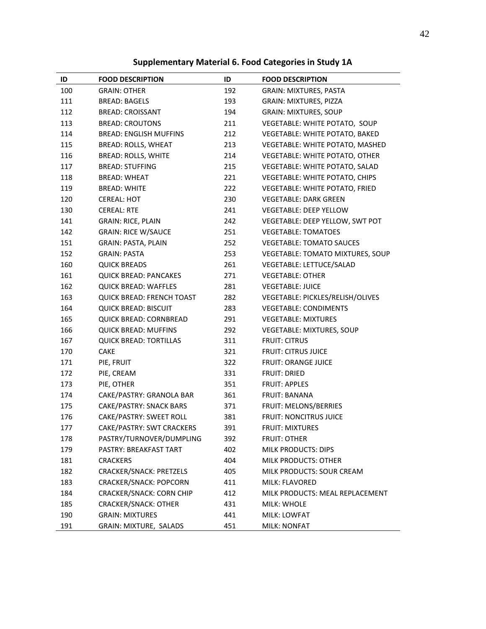## **Supplementary Material 6. Food Categories in Study 1A**

| ID  | <b>FOOD DESCRIPTION</b>          | ID  | <b>FOOD DESCRIPTION</b>          |
|-----|----------------------------------|-----|----------------------------------|
| 100 | <b>GRAIN: OTHER</b>              | 192 | <b>GRAIN: MIXTURES, PASTA</b>    |
| 111 | <b>BREAD: BAGELS</b>             | 193 | GRAIN: MIXTURES, PIZZA           |
| 112 | <b>BREAD: CROISSANT</b>          | 194 | <b>GRAIN: MIXTURES, SOUP</b>     |
| 113 | <b>BREAD: CROUTONS</b>           | 211 | VEGETABLE: WHITE POTATO, SOUP    |
| 114 | <b>BREAD: ENGLISH MUFFINS</b>    | 212 | VEGETABLE: WHITE POTATO, BAKED   |
| 115 | <b>BREAD: ROLLS, WHEAT</b>       | 213 | VEGETABLE: WHITE POTATO, MASHED  |
| 116 | <b>BREAD: ROLLS, WHITE</b>       | 214 | VEGETABLE: WHITE POTATO, OTHER   |
| 117 | <b>BREAD: STUFFING</b>           | 215 | VEGETABLE: WHITE POTATO, SALAD   |
| 118 | <b>BREAD: WHEAT</b>              | 221 | VEGETABLE: WHITE POTATO, CHIPS   |
| 119 | <b>BREAD: WHITE</b>              | 222 | VEGETABLE: WHITE POTATO, FRIED   |
| 120 | <b>CEREAL: HOT</b>               | 230 | <b>VEGETABLE: DARK GREEN</b>     |
| 130 | <b>CEREAL: RTE</b>               | 241 | <b>VEGETABLE: DEEP YELLOW</b>    |
| 141 | <b>GRAIN: RICE, PLAIN</b>        | 242 | VEGETABLE: DEEP YELLOW, SWT POT  |
| 142 | <b>GRAIN: RICE W/SAUCE</b>       | 251 | <b>VEGETABLE: TOMATOES</b>       |
| 151 | <b>GRAIN: PASTA, PLAIN</b>       | 252 | <b>VEGETABLE: TOMATO SAUCES</b>  |
| 152 | <b>GRAIN: PASTA</b>              | 253 | VEGETABLE: TOMATO MIXTURES, SOUP |
| 160 | <b>QUICK BREADS</b>              | 261 | VEGETABLE: LETTUCE/SALAD         |
| 161 | <b>QUICK BREAD: PANCAKES</b>     | 271 | <b>VEGETABLE: OTHER</b>          |
| 162 | <b>QUICK BREAD: WAFFLES</b>      | 281 | <b>VEGETABLE: JUICE</b>          |
| 163 | <b>QUICK BREAD: FRENCH TOAST</b> | 282 | VEGETABLE: PICKLES/RELISH/OLIVES |
| 164 | <b>QUICK BREAD: BISCUIT</b>      | 283 | <b>VEGETABLE: CONDIMENTS</b>     |
| 165 | <b>QUICK BREAD: CORNBREAD</b>    | 291 | <b>VEGETABLE: MIXTURES</b>       |
| 166 | <b>QUICK BREAD: MUFFINS</b>      | 292 | VEGETABLE: MIXTURES, SOUP        |
| 167 | <b>QUICK BREAD: TORTILLAS</b>    | 311 | <b>FRUIT: CITRUS</b>             |
| 170 | <b>CAKE</b>                      | 321 | <b>FRUIT: CITRUS JUICE</b>       |
| 171 | PIE, FRUIT                       | 322 | <b>FRUIT: ORANGE JUICE</b>       |
| 172 | PIE, CREAM                       | 331 | <b>FRUIT: DRIED</b>              |
| 173 | PIE, OTHER                       | 351 | <b>FRUIT: APPLES</b>             |
| 174 | CAKE/PASTRY: GRANOLA BAR         | 361 | <b>FRUIT: BANANA</b>             |
| 175 | CAKE/PASTRY: SNACK BARS          | 371 | FRUIT: MELONS/BERRIES            |
| 176 | CAKE/PASTRY: SWEET ROLL          | 381 | <b>FRUIT: NONCITRUS JUICE</b>    |
| 177 | CAKE/PASTRY: SWT CRACKERS        | 391 | <b>FRUIT: MIXTURES</b>           |
| 178 | PASTRY/TURNOVER/DUMPLING         | 392 | <b>FRUIT: OTHER</b>              |
| 179 | PASTRY: BREAKFAST TART           | 402 | <b>MILK PRODUCTS: DIPS</b>       |
| 181 | <b>CRACKERS</b>                  | 404 | MILK PRODUCTS: OTHER             |
| 182 | <b>CRACKER/SNACK: PRETZELS</b>   | 405 | MILK PRODUCTS: SOUR CREAM        |
| 183 | <b>CRACKER/SNACK: POPCORN</b>    | 411 | MILK: FLAVORED                   |
| 184 | <b>CRACKER/SNACK: CORN CHIP</b>  | 412 | MILK PRODUCTS: MEAL REPLACEMENT  |
| 185 | <b>CRACKER/SNACK: OTHER</b>      | 431 | MILK: WHOLE                      |
| 190 | <b>GRAIN: MIXTURES</b>           | 441 | MILK: LOWFAT                     |
| 191 | GRAIN: MIXTURE, SALADS           | 451 | <b>MILK: NONFAT</b>              |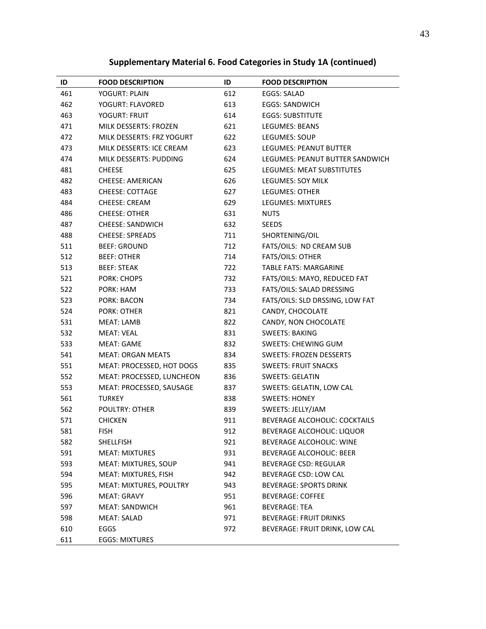## **Supplementary Material 6. Food Categories in Study 1A (continued)**

| ID  | <b>FOOD DESCRIPTION</b>        | ID  | <b>FOOD DESCRIPTION</b>              |
|-----|--------------------------------|-----|--------------------------------------|
| 461 | <b>YOGURT: PLAIN</b>           | 612 | EGGS: SALAD                          |
| 462 | YOGURT: FLAVORED               | 613 | <b>EGGS: SANDWICH</b>                |
| 463 | <b>YOGURT: FRUIT</b>           | 614 | <b>EGGS: SUBSTITUTE</b>              |
| 471 | MILK DESSERTS: FROZEN          | 621 | <b>LEGUMES: BEANS</b>                |
| 472 | MILK DESSERTS: FRZ YOGURT      | 622 | LEGUMES: SOUP                        |
| 473 | MILK DESSERTS: ICE CREAM       | 623 | LEGUMES: PEANUT BUTTER               |
| 474 | MILK DESSERTS: PUDDING         | 624 | LEGUMES: PEANUT BUTTER SANDWICH      |
| 481 | <b>CHEESE</b>                  | 625 | LEGUMES: MEAT SUBSTITUTES            |
| 482 | CHEESE: AMERICAN               | 626 | LEGUMES: SOY MILK                    |
| 483 | <b>CHEESE: COTTAGE</b>         | 627 | <b>LEGUMES: OTHER</b>                |
| 484 | <b>CHEESE: CREAM</b>           | 629 | <b>LEGUMES: MIXTURES</b>             |
| 486 | <b>CHEESE: OTHER</b>           | 631 | <b>NUTS</b>                          |
| 487 | <b>CHEESE: SANDWICH</b>        | 632 | <b>SEEDS</b>                         |
| 488 | <b>CHEESE: SPREADS</b>         | 711 | SHORTENING/OIL                       |
| 511 | <b>BEEF: GROUND</b>            | 712 | FATS/OILS: ND CREAM SUB              |
| 512 | <b>BEEF: OTHER</b>             | 714 | <b>FATS/OILS: OTHER</b>              |
| 513 | <b>BEEF: STEAK</b>             | 722 | <b>TABLE FATS: MARGARINE</b>         |
| 521 | <b>PORK: CHOPS</b>             | 732 | FATS/OILS: MAYO, REDUCED FAT         |
| 522 | PORK: HAM                      | 733 | FATS/OILS: SALAD DRESSING            |
| 523 | <b>PORK: BACON</b>             | 734 | FATS/OILS: SLD DRSSING, LOW FAT      |
| 524 | <b>PORK: OTHER</b>             | 821 | CANDY, CHOCOLATE                     |
| 531 | MEAT: LAMB                     | 822 | CANDY, NON CHOCOLATE                 |
| 532 | <b>MEAT: VEAL</b>              | 831 | <b>SWEETS: BAKING</b>                |
| 533 | <b>MEAT: GAME</b>              | 832 | SWEETS: CHEWING GUM                  |
| 541 | <b>MEAT: ORGAN MEATS</b>       | 834 | <b>SWEETS: FROZEN DESSERTS</b>       |
| 551 | MEAT: PROCESSED, HOT DOGS      | 835 | <b>SWEETS: FRUIT SNACKS</b>          |
| 552 | MEAT: PROCESSED, LUNCHEON      | 836 | <b>SWEETS: GELATIN</b>               |
| 553 | MEAT: PROCESSED, SAUSAGE       | 837 | SWEETS: GELATIN, LOW CAL             |
| 561 | <b>TURKEY</b>                  | 838 | <b>SWEETS: HONEY</b>                 |
| 562 | POULTRY: OTHER                 | 839 | SWEETS: JELLY/JAM                    |
| 571 | <b>CHICKEN</b>                 | 911 | <b>BEVERAGE ALCOHOLIC: COCKTAILS</b> |
| 581 | <b>FISH</b>                    | 912 | BEVERAGE ALCOHOLIC: LIQUOR           |
| 582 | <b>SHELLFISH</b>               | 921 | BEVERAGE ALCOHOLIC: WINE             |
| 591 | <b>MEAT: MIXTURES</b>          | 931 | <b>BEVERAGE ALCOHOLIC: BEER</b>      |
| 593 | MEAT: MIXTURES, SOUP           | 941 | <b>BEVERAGE CSD: REGULAR</b>         |
| 594 | MEAT: MIXTURES, FISH           | 942 | BEVERAGE CSD: LOW CAL                |
| 595 | <b>MEAT: MIXTURES, POULTRY</b> | 943 | <b>BEVERAGE: SPORTS DRINK</b>        |
| 596 | <b>MEAT: GRAVY</b>             | 951 | <b>BEVERAGE: COFFEE</b>              |
| 597 | <b>MEAT: SANDWICH</b>          | 961 | <b>BEVERAGE: TEA</b>                 |
| 598 | <b>MEAT: SALAD</b>             | 971 | <b>BEVERAGE: FRUIT DRINKS</b>        |
| 610 | EGGS                           | 972 | BEVERAGE: FRUIT DRINK, LOW CAL       |
| 611 | <b>EGGS: MIXTURES</b>          |     |                                      |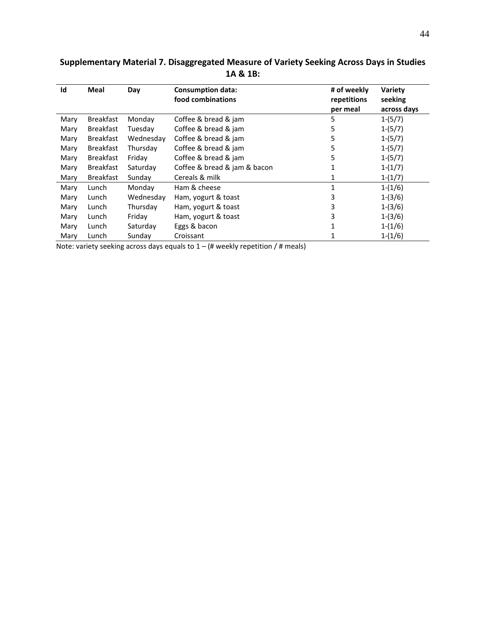| Id   | <b>Meal</b>      | Day       | <b>Consumption data:</b><br>food combinations | # of weekly<br>repetitions<br>per meal | Variety<br>seeking<br>across days |
|------|------------------|-----------|-----------------------------------------------|----------------------------------------|-----------------------------------|
| Mary | <b>Breakfast</b> | Monday    | Coffee & bread & jam                          | 5                                      | $1-(5/7)$                         |
| Mary | <b>Breakfast</b> | Tuesday   | Coffee & bread & jam                          | 5                                      | $1-(5/7)$                         |
| Mary | <b>Breakfast</b> | Wednesday | Coffee & bread & jam                          | 5                                      | $1-(5/7)$                         |
| Mary | <b>Breakfast</b> | Thursday  | Coffee & bread & jam                          | 5                                      | $1-(5/7)$                         |
| Mary | <b>Breakfast</b> | Friday    | Coffee & bread & jam                          | 5                                      | $1-(5/7)$                         |
| Mary | <b>Breakfast</b> | Saturday  | Coffee & bread & jam & bacon                  |                                        | $1-(1/7)$                         |
| Mary | <b>Breakfast</b> | Sunday    | Cereals & milk                                | 1                                      | $1-(1/7)$                         |
| Mary | Lunch            | Monday    | Ham & cheese                                  | 1                                      | $1-(1/6)$                         |
| Mary | Lunch            | Wednesday | Ham, yogurt & toast                           | 3                                      | $1-(3/6)$                         |
| Mary | Lunch            | Thursday  | Ham, yogurt & toast                           | 3                                      | $1-(3/6)$                         |
| Mary | Lunch            | Friday    | Ham, yogurt & toast                           | 3                                      | $1-(3/6)$                         |
| Mary | Lunch            | Saturday  | Eggs & bacon                                  | 1                                      | $1-(1/6)$                         |
| Mary | Lunch            | Sunday    | Croissant                                     |                                        | $1-(1/6)$                         |

## **Supplementary Material 7. Disaggregated Measure of Variety Seeking Across Days in Studies 1A & 1B:**

Note: variety seeking across days equals to  $1 - (\#$  weekly repetition /  $\#$  meals)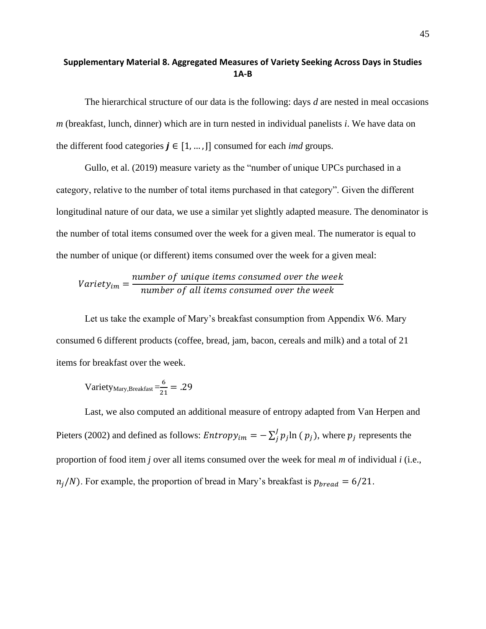## **Supplementary Material 8. Aggregated Measures of Variety Seeking Across Days in Studies 1A-B**

The hierarchical structure of our data is the following: days *d* are nested in meal occasions *m* (breakfast, lunch, dinner) which are in turn nested in individual panelists *i*. We have data on the different food categories  $j \in [1, ..., ]$  consumed for each *imd* groups.

Gullo, et al. (2019) measure variety as the "number of unique UPCs purchased in a category, relative to the number of total items purchased in that category". Given the different longitudinal nature of our data, we use a similar yet slightly adapted measure. The denominator is the number of total items consumed over the week for a given meal. The numerator is equal to the number of unique (or different) items consumed over the week for a given meal:

$$
Variety_{im} = \frac{number\ of\ unique\ items\ consumed\ over\ the\ week}{number\ of\ all\ items\ consumed\ over\ the\ week}
$$

Let us take the example of Mary's breakfast consumption from Appendix W6. Mary consumed 6 different products (coffee, bread, jam, bacon, cereals and milk) and a total of 21 items for breakfast over the week.

$$
Variety_{\text{Mary,Breakfast}} = \frac{6}{21} = .29
$$

Last, we also computed an additional measure of entropy adapted from Van Herpen and Pieters (2002) and defined as follows:  $Entropy_{im} = -\sum_{j}^{J} p_{j} \ln ($  $\int_{i}^{j} p_{j} \ln (p_{j}),$  where  $p_{j}$  represents the proportion of food item *j* over all items consumed over the week for meal *m* of individual *i* (i.e.,  $n_j/N$ ). For example, the proportion of bread in Mary's breakfast is  $p_{\text{bread}} = 6/21$ .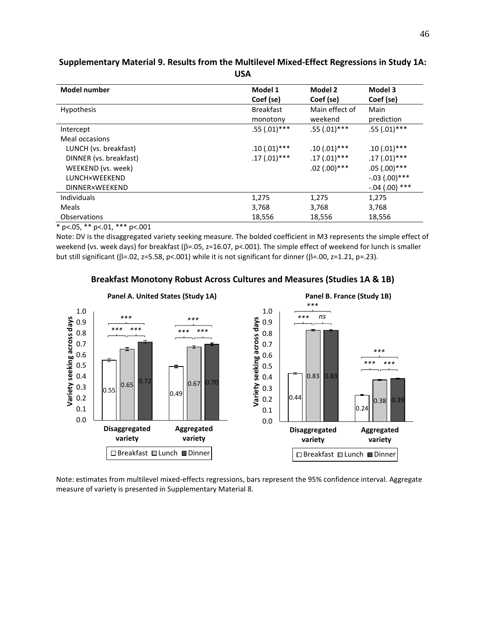| <b>Model number</b>    | Model 1          | Model 2        | Model 3         |
|------------------------|------------------|----------------|-----------------|
|                        | Coef (se)        | Coef (se)      | Coef (se)       |
| <b>Hypothesis</b>      | <b>Breakfast</b> | Main effect of | Main            |
|                        | monotony         | weekend        | prediction      |
| Intercept              | $.55(.01)$ ***   | $.55(.01)$ *** | $.55(.01)$ ***  |
| Meal occasions         |                  |                |                 |
| LUNCH (vs. breakfast)  | $.10(.01)$ ***   | $.10(.01)***$  | $.10(.01)$ ***  |
| DINNER (vs. breakfast) | $.17(.01)$ ***   | $.17(.01)$ *** | $.17(.01)$ ***  |
| WEEKEND (vs. week)     |                  | $.02(.00)$ *** | $.05(.00)$ ***  |
| LUNCH×WEEKEND          |                  |                | $-.03(.00)$ *** |
| <b>DINNER×WEEKEND</b>  |                  |                | $-.04(.00)$ *** |
| <b>Individuals</b>     | 1,275            | 1,275          | 1,275           |
| Meals                  | 3,768            | 3,768          | 3,768           |
| Observations           | 18,556           | 18,556         | 18,556          |

### **Supplementary Material 9. Results from the Multilevel Mixed-Effect Regressions in Study 1A: USA**

\* p<.05, \*\* p<.01, \*\*\* p<.001

Note: DV is the disaggregated variety seeking measure. The bolded coefficient in M3 represents the simple effect of weekend (vs. week days) for breakfast ( $\beta$ =.05, z=16.07, p<.001). The simple effect of weekend for lunch is smaller but still significant ( $\beta$ =.02, z=5.58, p<.001) while it is not significant for dinner ( $\beta$ =.00, z=1.21, p=.23).





Note: estimates from multilevel mixed-effects regressions, bars represent the 95% confidence interval. Aggregate measure of variety is presented in Supplementary Material 8.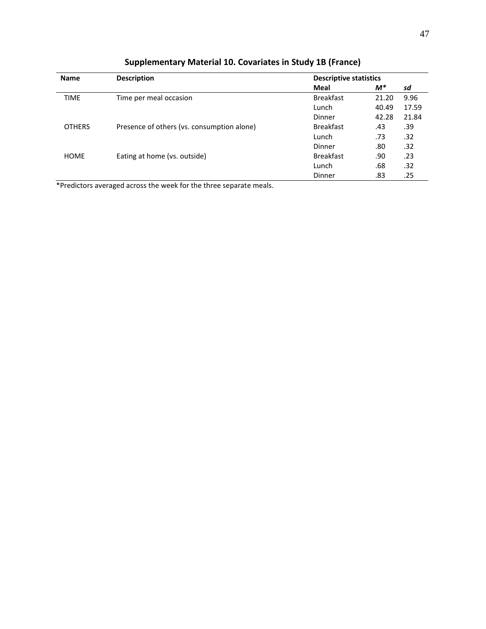| <b>Name</b>   | <b>Description</b>                         | <b>Descriptive statistics</b> |       |       |
|---------------|--------------------------------------------|-------------------------------|-------|-------|
|               |                                            | Meal                          | $M^*$ | sd    |
| <b>TIME</b>   | Time per meal occasion                     | <b>Breakfast</b>              | 21.20 | 9.96  |
|               |                                            | Lunch                         | 40.49 | 17.59 |
|               |                                            | Dinner                        | 42.28 | 21.84 |
| <b>OTHERS</b> | Presence of others (vs. consumption alone) | <b>Breakfast</b>              | .43   | .39   |
|               |                                            | Lunch                         | .73   | .32   |
|               |                                            | Dinner                        | .80   | .32   |
| <b>HOME</b>   | Eating at home (vs. outside)               | <b>Breakfast</b>              | .90   | .23   |
|               |                                            | Lunch                         | .68   | .32   |
|               |                                            | Dinner                        | .83   | .25   |

**Supplementary Material 10. Covariates in Study 1B (France)**

\*Predictors averaged across the week for the three separate meals.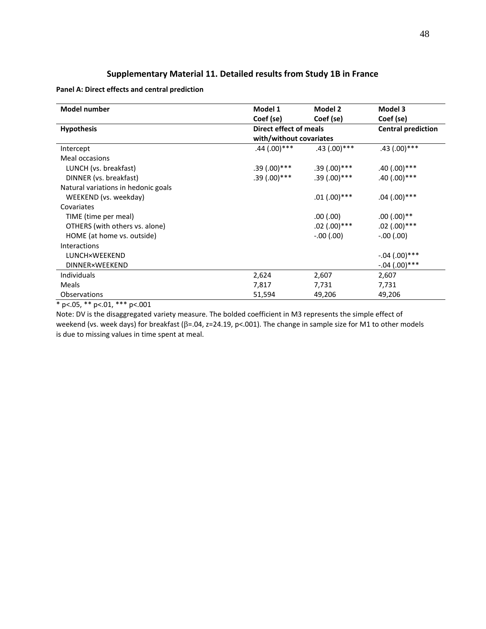## **Supplementary Material 11. Detailed results from Study 1B in France**

#### **Panel A: Direct effects and central prediction**

| <b>Model number</b>                 | Model 1                 | Model 2        | Model 3                   |  |
|-------------------------------------|-------------------------|----------------|---------------------------|--|
|                                     | Coef (se)               | Coef (se)      | Coef (se)                 |  |
| <b>Hypothesis</b>                   | Direct effect of meals  |                | <b>Central prediction</b> |  |
|                                     | with/without covariates |                |                           |  |
| Intercept                           | $.44(.00)$ ***          | $.43(.00)$ *** | $.43(.00)***$             |  |
| Meal occasions                      |                         |                |                           |  |
| LUNCH (vs. breakfast)               | $.39(.00)$ ***          | $.39(.00)$ *** | $.40(.00)$ ***            |  |
| DINNER (vs. breakfast)              | $.39(.00)$ ***          | $.39(.00)$ *** | $.40(.00)$ ***            |  |
| Natural variations in hedonic goals |                         |                |                           |  |
| WEEKEND (vs. weekday)               |                         | $.01(.00)$ *** | $.04(.00)$ ***            |  |
| Covariates                          |                         |                |                           |  |
| TIME (time per meal)                |                         | .00(.00)       | $.00(.00)**$              |  |
| OTHERS (with others vs. alone)      |                         | $.02(.00)$ *** | $.02$ (.00)***            |  |
| HOME (at home vs. outside)          |                         | $-.00(.00)$    | $-.00(.00)$               |  |
| <b>Interactions</b>                 |                         |                |                           |  |
| LUNCH×WEEKEND                       |                         |                | $-.04(.00)$ ***           |  |
| <b>DINNER×WEEKEND</b>               |                         |                | $-.04(.00)$ ***           |  |
| <b>Individuals</b>                  | 2,624                   | 2,607          | 2,607                     |  |
| Meals                               | 7,817                   | 7,731          | 7,731                     |  |
| <b>Observations</b>                 | 51,594                  | 49,206         | 49,206                    |  |

\* p<.05, \*\* p<.01, \*\*\* p<.001

Note: DV is the disaggregated variety measure. The bolded coefficient in M3 represents the simple effect of weekend (vs. week days) for breakfast ( $\beta$ =.04, z=24.19, p<.001). The change in sample size for M1 to other models is due to missing values in time spent at meal.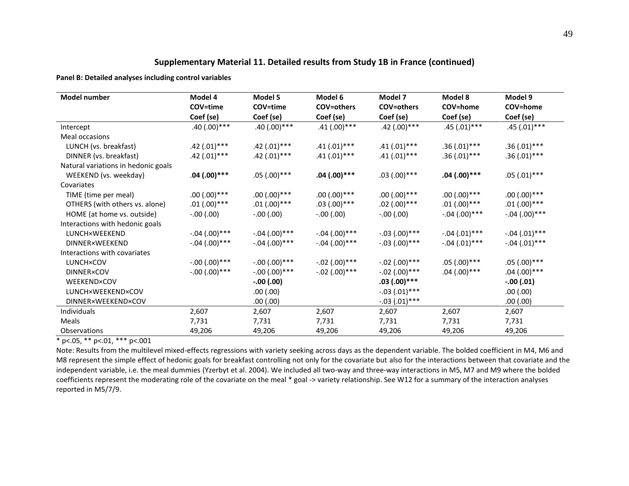## **Supplementary Material 11. Detailed results from Study 1B in France (continued)**

**Panel B: Detailed analyses including control variables**

| Model number                        | Model 4         | Model 5         | Model 6           | Model 7           | Model 8         | Model 9         |
|-------------------------------------|-----------------|-----------------|-------------------|-------------------|-----------------|-----------------|
|                                     | COV=time        | COV=time        | <b>COV=others</b> | <b>COV=others</b> | COV=home        | COV=home        |
|                                     | Coef (se)       | Coef (se)       | Coef (se)         | Coef (se)         | Coef (se)       | Coef (se)       |
| Intercept                           | $.40(.00)$ ***  | $.40(.00)$ ***  | $.41(.00)$ ***    | $.42(.00)$ ***    | $.45(.01)***$   | $.45(.01)***$   |
| Meal occasions                      |                 |                 |                   |                   |                 |                 |
| LUNCH (vs. breakfast)               | $.42(.01)***$   | $.42(.01)$ ***  | $.41(.01)$ ***    | $.41(.01)$ ***    | $.36(.01)$ ***  | $.36(.01)$ ***  |
| DINNER (vs. breakfast)              | $.42(.01)***$   | $.42(.01)***$   | $.41(.01)***$     | $.41(.01)$ ***    | $.36(.01)$ ***  | $.36(.01)$ ***  |
| Natural variations in hedonic goals |                 |                 |                   |                   |                 |                 |
| WEEKEND (vs. weekday)               | $.04(.00)$ ***  | $.05(.00)$ ***  | $.04(.00)$ ***    | $.03(.00)***$     | $.04(.00)$ ***  | $.05(.01)$ ***  |
| Covariates                          |                 |                 |                   |                   |                 |                 |
| TIME (time per meal)                | $.00(.00)$ ***  | $.00(.00)$ ***  | $.00(.00)$ ***    | $.00(.00)$ ***    | $.00(.00)$ ***  | $.00(.00)$ ***  |
| OTHERS (with others vs. alone)      | $.01(.00)$ ***  | $.01(.00)$ ***  | $.03(.00)***$     | $.02(.00)$ ***    | $.01(.00)$ ***  | $.01(.00)$ ***  |
| HOME (at home vs. outside)          | $-.00(.00)$     | $-.00(.00)$     | $-.00$ $(.00)$    | $-.00$ $(.00)$    | $-.04(.00)***$  | $-.04(.00)***$  |
| Interactions with hedonic goals     |                 |                 |                   |                   |                 |                 |
| <b>LUNCH×WEEKEND</b>                | $-.04(.00)$ *** | $-.04(.00)$ *** | $-.04(.00)$ ***   | $-.03(.00)$ ***   | $-.04(.01)$ *** | $-.04(.01)$ *** |
| <b>DINNER×WEEKEND</b>               | $-.04(.00)$ *** | $-.04(.00)$ *** | $-.04(.00)$ ***   | $-.03(.00)$ ***   | $-.04(.01)$ *** | $-.04(.01)***$  |
| Interactions with covariates        |                 |                 |                   |                   |                 |                 |
| <b>LUNCH×COV</b>                    | $-.00(.00)***$  | $-.00(.00)***$  | $-.02(.00)$ ***   | $-.02(.00)***$    | $.05(.00)$ ***  | $.05(.00)$ ***  |
| <b>DINNER×COV</b>                   | $-.00(.00)***$  | $-.00(.00)$ *** | $-.02(.00)$ ***   | $-.02(.00)$ ***   | $.04(.00)$ ***  | $.04(.00)$ ***  |
| WEEKEND×COV                         |                 | $-.00(.00)$     |                   | $.03(.00)***$     |                 | $-.00(.01)$     |
| LUNCH×WEEKEND×COV                   |                 | .00(.00)        |                   | $-.03(.01)$ ***   |                 | (00.)00.        |
| <b>DINNER×WEEKEND×COV</b>           |                 | .00(.00)        |                   | $-.03(.01)***$    |                 | .00(.00)        |
| Individuals                         | 2,607           | 2,607           | 2,607             | 2,607             | 2,607           | 2,607           |
| Meals                               | 7,731           | 7,731           | 7,731             | 7,731             | 7,731           | 7,731           |
| Observations                        | 49,206          | 49,206          | 49,206            | 49,206            | 49,206          | 49,206          |

 $*$  p<.05, \*\* p<.01, \*\*\* p<.001

Note: Results from the multilevel mixed-effects regressions with variety seeking across days as the dependent variable. The bolded coefficient in M4, M6 and M8 represent the simple effect of hedonic goals for breakfast controlling not only for the covariate but also for the interactions between that covariate and the independent variable, i.e. the meal dummies (Yzerbyt et al. 2004). We included all two-way and three-way interactions in M5, M7 and M9 where the bolded coefficients represent the moderating role of the covariate on the meal \* goal -> variety relationship. See W12 for a summary of the interaction analyses reported in M5/7/9.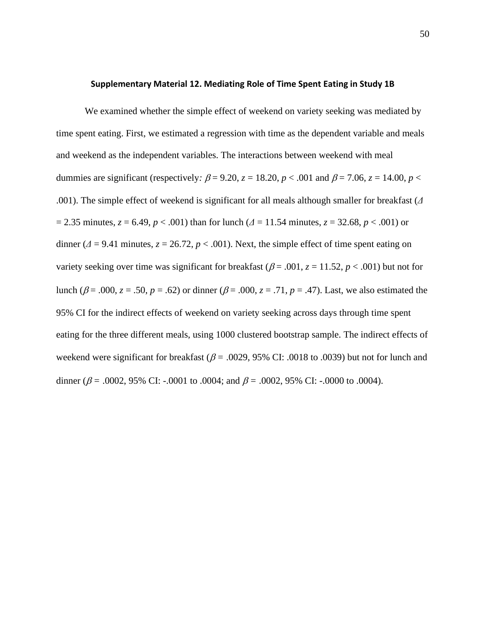#### **Supplementary Material 12. Mediating Role of Time Spent Eating in Study 1B**

We examined whether the simple effect of weekend on variety seeking was mediated by time spent eating. First, we estimated a regression with time as the dependent variable and meals and weekend as the independent variables. The interactions between weekend with meal dummies are significant (respectively:  $\beta = 9.20$ ,  $z = 18.20$ ,  $p < .001$  and  $\beta = 7.06$ ,  $z = 14.00$ ,  $p <$ .001). The simple effect of weekend is significant for all meals although smaller for breakfast (*Δ* = 2.35 minutes, *z* = 6.49, *p* < .001) than for lunch (*Δ* = 11.54 minutes, *z* = 32.68, *p* < .001) or dinner ( $\Delta$  = 9.41 minutes,  $z = 26.72$ ,  $p < .001$ ). Next, the simple effect of time spent eating on variety seeking over time was significant for breakfast ( $\beta$  = .001,  $z$  = 11.52,  $p$  < .001) but not for lunch ( $\beta$  = .000, *z* = .50, *p* = .62) or dinner ( $\beta$  = .000, *z* = .71, *p* = .47). Last, we also estimated the 95% CI for the indirect effects of weekend on variety seeking across days through time spent eating for the three different meals, using 1000 clustered bootstrap sample. The indirect effects of weekend were significant for breakfast ( $\beta$  = .0029, 95% CI: .0018 to .0039) but not for lunch and dinner ( $\beta$  = .0002, 95% CI: -.0001 to .0004; and  $\beta$  = .0002, 95% CI: -.0000 to .0004).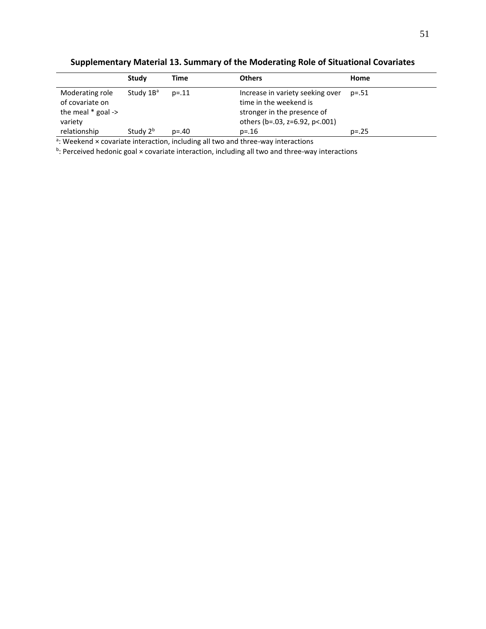|                                                                       | Study                 | Time     | <b>Others</b>                                                                                                               | Home    |
|-----------------------------------------------------------------------|-----------------------|----------|-----------------------------------------------------------------------------------------------------------------------------|---------|
| Moderating role<br>of covariate on<br>the meal $*$ goal -><br>variety | Study 1B <sup>a</sup> | $p = 11$ | Increase in variety seeking over<br>time in the weekend is<br>stronger in the presence of<br>others (b=.03, z=6.92, p<.001) | p=.51   |
| relationship                                                          | Study 2 <sup>b</sup>  | $p = 40$ | $p = 16$                                                                                                                    | $p=.25$ |

**Supplementary Material 13. Summary of the Moderating Role of Situational Covariates**

<sup>a</sup>: Weekend × covariate interaction, including all two and three-way interactions

<sup>b</sup>: Perceived hedonic goal × covariate interaction, including all two and three-way interactions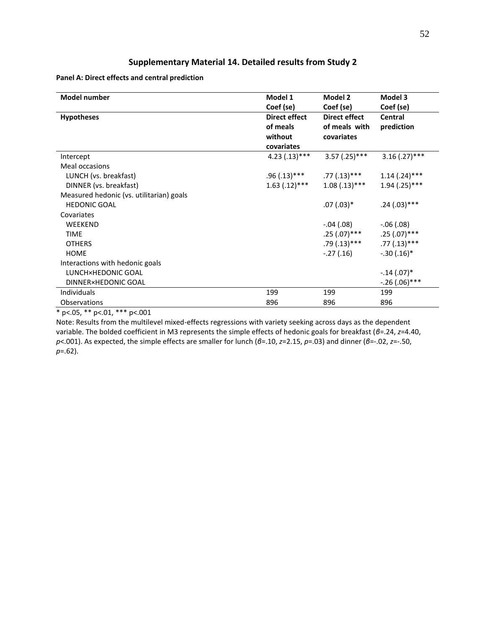## **Supplementary Material 14. Detailed results from Study 2**

**Panel A: Direct effects and central prediction**

| <b>Model number</b>                      | Model 1<br>Coef (se)             | Model 2<br>Coef (se)                  | Model 3<br>Coef (se)  |
|------------------------------------------|----------------------------------|---------------------------------------|-----------------------|
| <b>Hypotheses</b>                        | <b>Direct effect</b><br>of meals | <b>Direct effect</b><br>of meals with | Central<br>prediction |
|                                          | without                          | covariates                            |                       |
|                                          | covariates                       |                                       |                       |
| Intercept                                | $4.23(.13)***$                   | $3.57$ (.25)***                       | $3.16$ (.27)***       |
| Meal occasions                           |                                  |                                       |                       |
| LUNCH (vs. breakfast)                    | .96 (.13)***                     | $.77(.13)$ ***                        | $1.14$ (.24)***       |
| DINNER (vs. breakfast)                   | $1.63$ $(.12)****$               | $1.08(.13)***$                        | $1.94$ (.25)***       |
| Measured hedonic (vs. utilitarian) goals |                                  |                                       |                       |
| <b>HEDONIC GOAL</b>                      |                                  | $.07(.03)*$                           | $.24(.03)***$         |
| Covariates                               |                                  |                                       |                       |
| WEEKEND                                  |                                  | $-.04(.08)$                           | $-.06(.08)$           |
| <b>TIME</b>                              |                                  | .25 (.07)***                          | $.25(.07)$ ***        |
| <b>OTHERS</b>                            |                                  | $.79(.13)***$                         | $.77(.13)$ ***        |
| <b>HOME</b>                              |                                  | $-.27(.16)$                           | $-.30(.16)*$          |
| Interactions with hedonic goals          |                                  |                                       |                       |
| LUNCH×HEDONIC GOAL                       |                                  |                                       | $-.14(.07)*$          |
| DINNER×HEDONIC GOAL                      |                                  |                                       | $-.26(.06)***$        |
| Individuals                              | 199                              | 199                                   | 199                   |
| Observations                             | 896                              | 896                                   | 896                   |

\* p<.05, \*\* p<.01, \*\*\* p<.001

Note: Results from the multilevel mixed-effects regressions with variety seeking across days as the dependent variable. The bolded coefficient in M3 represents the simple effects of hedonic goals for breakfast (*β*=.24, *z*=4.40, *p*<.001). As expected, the simple effects are smaller for lunch (*β*=.10, *z*=2.15, *p*=.03) and dinner (*β*=-.02, *z*=-.50, *p*=.62).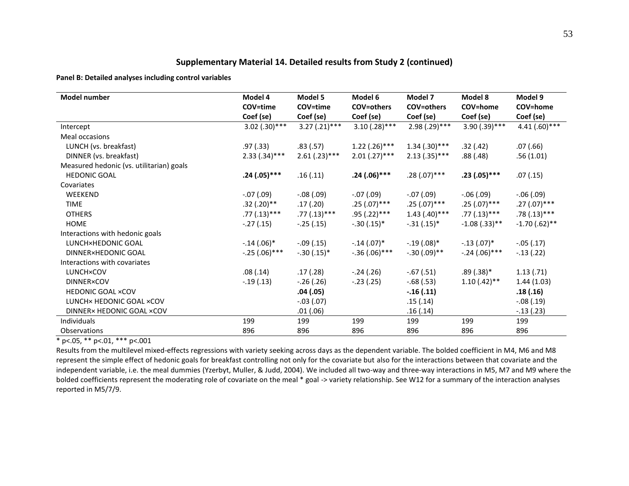## **Supplementary Material 14. Detailed results from Study 2 (continued)**

**Panel B: Detailed analyses including control variables**

| <b>Model number</b>                      | Model 4<br>COV=time | Model 5<br>COV=time | Model 6<br><b>COV=others</b> | Model 7<br><b>COV=others</b> | Model 8<br>COV=home | Model 9<br>COV=home |
|------------------------------------------|---------------------|---------------------|------------------------------|------------------------------|---------------------|---------------------|
|                                          | Coef (se)           | Coef (se)           | Coef (se)                    | Coef (se)                    | Coef (se)           | Coef (se)           |
| Intercept                                | $3.02(.30)***$      | $3.27(.21)***$      | $3.10(.28)***$               | $2.98(.29)***$               | $3.90(.39)$ ***     | $4.41(.60)$ ***     |
| Meal occasions                           |                     |                     |                              |                              |                     |                     |
| LUNCH (vs. breakfast)                    | .97 (.33)           | .83(.57)            | $1.22$ (.26)***              | $1.34(.30)$ ***              | .32(.42)            | .07(0.66)           |
| DINNER (vs. breakfast)                   | $2.33(.34)***$      | $2.61(.23)***$      | $2.01(.27)$ ***              | $2.13(.35)***$               | .88 (.48)           | .56(1.01)           |
| Measured hedonic (vs. utilitarian) goals |                     |                     |                              |                              |                     |                     |
| <b>HEDONIC GOAL</b>                      | $.24(.05)***$       | .16(.11)            | $.24(.06)***$                | $.28(.07)$ ***               | $.23(.05)***$       | .07(.15)            |
| Covariates                               |                     |                     |                              |                              |                     |                     |
| WEEKEND                                  | $-.07$ (.09)        | $-.08(.09)$         | $-.07(.09)$                  | $-.07(.09)$                  | $-.06$ $(.09)$      | $-.06$ $(.09)$      |
| <b>TIME</b>                              | $.32(.20)$ **       | .17(.20)            | $.25(.07)$ ***               | $.25(.07)$ ***               | $.25(.07)$ ***      | $.27(.07)$ ***      |
| <b>OTHERS</b>                            | $.77(.13)$ ***      | $.77(.13)$ ***      | $.95(.22)***$                | $1.43$ (.40)***              | $.77(.13)$ ***      | $.78(.13)***$       |
| <b>HOME</b>                              | $-.27(.15)$         | $-.25(.15)$         | $-.30(.15)*$                 | $-.31(.15)*$                 | $-1.08(.33)$ **     | $-1.70(.62)$ **     |
| Interactions with hedonic goals          |                     |                     |                              |                              |                     |                     |
| LUNCH×HEDONIC GOAL                       | $-.14(.06)*$        | $-.09(.15)$         | $-.14(.07)*$                 | $-.19(.08)*$                 | $-.13(.07)*$        | $-.05(.17)$         |
| DINNER×HEDONIC GOAL                      | $-.25(.06)***$      | $-.30(.15)*$        | $-.36(.06)***$               | $-.30(.09)$ **               | $-.24(.06)***$      | $-.13(.22)$         |
| Interactions with covariates             |                     |                     |                              |                              |                     |                     |
| LUNCH×COV                                | .08(.14)            | .17(.28)            | $-.24(.26)$                  | $-.67(.51)$                  | $.89(.38)*$         | 1.13(.71)           |
| <b>DINNER×COV</b>                        | $-.19(.13)$         | $-.26(.26)$         | $-.23(.25)$                  | $-.68(.53)$                  | $1.10(.42)$ **      | 1.44(1.03)          |
| <b>HEDONIC GOAL ×COV</b>                 |                     | .04(.05)            |                              | $-.16(.11)$                  |                     | .18(.16)            |
| LUNCH× HEDONIC GOAL ×COV                 |                     | $-.03(.07)$         |                              | .15(.14)                     |                     | $-.08(.19)$         |
| DINNER× HEDONIC GOAL ×COV                |                     | .01(.06)            |                              | .16(.14)                     |                     | $-.13(.23)$         |
| Individuals                              | 199                 | 199                 | 199                          | 199                          | 199                 | 199                 |
| Observations                             | 896                 | 896                 | 896                          | 896                          | 896                 | 896                 |

 $*$  p<.05, \*\* p<.01, \*\*\* p<.001

Results from the multilevel mixed-effects regressions with variety seeking across days as the dependent variable. The bolded coefficient in M4, M6 and M8 represent the simple effect of hedonic goals for breakfast controlling not only for the covariate but also for the interactions between that covariate and the independent variable, i.e. the meal dummies (Yzerbyt, Muller, & Judd, 2004). We included all two-way and three-way interactions in M5, M7 and M9 where the bolded coefficients represent the moderating role of covariate on the meal \* goal -> variety relationship. See W12 for a summary of the interaction analyses reported in M5/7/9.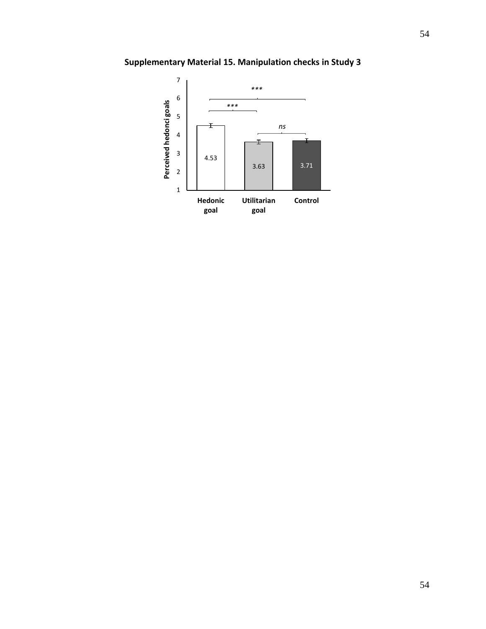

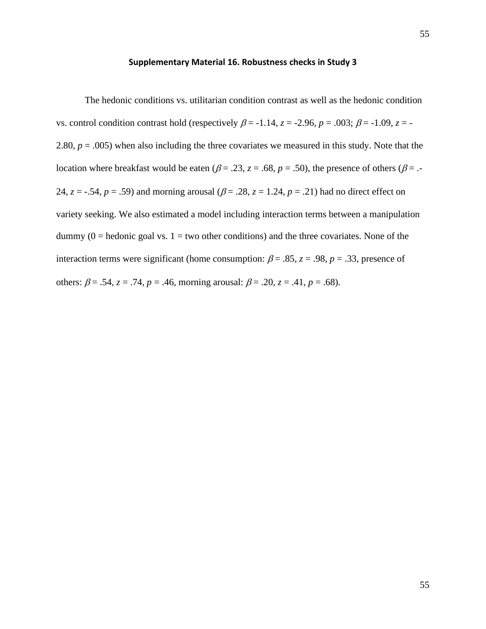#### **Supplementary Material 16. Robustness checks in Study 3**

The hedonic conditions vs. utilitarian condition contrast as well as the hedonic condition vs. control condition contrast hold (respectively  $\beta$  = -1.14,  $z$  = -2.96,  $p$  = .003;  $\beta$  = -1.09,  $z$  = -2.80,  $p = .005$ ) when also including the three covariates we measured in this study. Note that the location where breakfast would be eaten ( $\beta$  = .23, *z* = .68, *p* = .50), the presence of others ( $\beta$  = .-24,  $z = -0.54$ ,  $p = 0.59$ ) and morning arousal ( $\beta = 0.28$ ,  $z = 1.24$ ,  $p = 0.21$ ) had no direct effect on variety seeking. We also estimated a model including interaction terms between a manipulation dummy  $(0 = \text{hedonic goal vs. } 1 = \text{two other conditions})$  and the three covariates. None of the interaction terms were significant (home consumption:  $\beta = .85$ ,  $z = .98$ ,  $p = .33$ , presence of others:  $\beta = .54$ ,  $z = .74$ ,  $p = .46$ , morning arousal:  $\beta = .20$ ,  $z = .41$ ,  $p = .68$ ).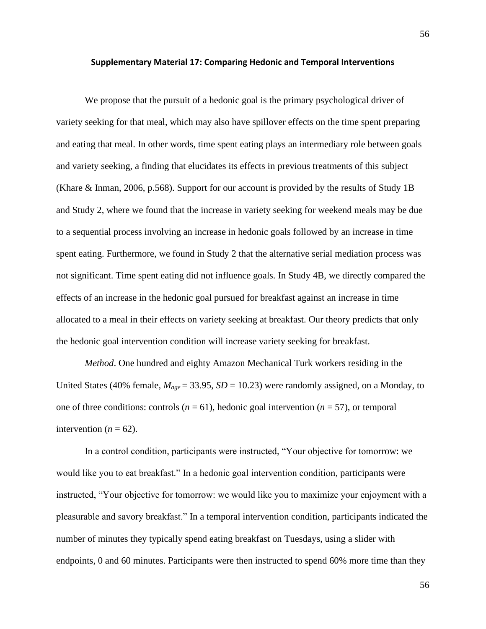#### **Supplementary Material 17: Comparing Hedonic and Temporal Interventions**

We propose that the pursuit of a hedonic goal is the primary psychological driver of variety seeking for that meal, which may also have spillover effects on the time spent preparing and eating that meal. In other words, time spent eating plays an intermediary role between goals and variety seeking, a finding that elucidates its effects in previous treatments of this subject (Khare & Inman, 2006, p.568). Support for our account is provided by the results of Study 1B and Study 2, where we found that the increase in variety seeking for weekend meals may be due to a sequential process involving an increase in hedonic goals followed by an increase in time spent eating. Furthermore, we found in Study 2 that the alternative serial mediation process was not significant. Time spent eating did not influence goals. In Study 4B, we directly compared the effects of an increase in the hedonic goal pursued for breakfast against an increase in time allocated to a meal in their effects on variety seeking at breakfast. Our theory predicts that only the hedonic goal intervention condition will increase variety seeking for breakfast.

*Method*. One hundred and eighty Amazon Mechanical Turk workers residing in the United States (40% female, *Mage* = 33.95, *SD* = 10.23) were randomly assigned, on a Monday, to one of three conditions: controls  $(n = 61)$ , hedonic goal intervention  $(n = 57)$ , or temporal intervention  $(n = 62)$ .

In a control condition, participants were instructed, "Your objective for tomorrow: we would like you to eat breakfast." In a hedonic goal intervention condition*,* participants were instructed, "Your objective for tomorrow: we would like you to maximize your enjoyment with a pleasurable and savory breakfast." In a temporal intervention condition, participants indicated the number of minutes they typically spend eating breakfast on Tuesdays, using a slider with endpoints, 0 and 60 minutes. Participants were then instructed to spend 60% more time than they

56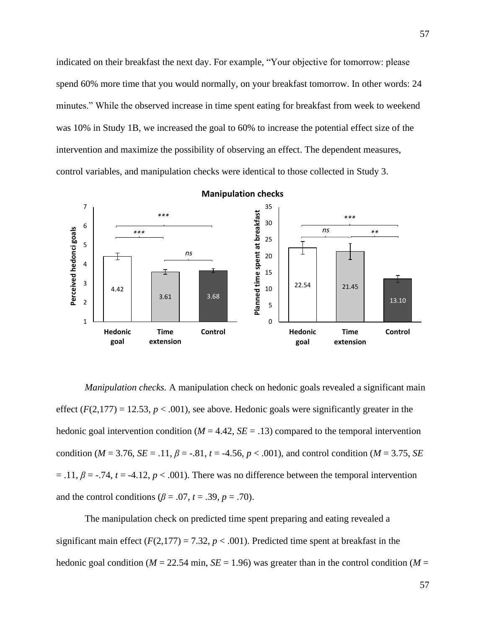indicated on their breakfast the next day. For example, "Your objective for tomorrow: please spend 60% more time that you would normally, on your breakfast tomorrow. In other words: 24 minutes." While the observed increase in time spent eating for breakfast from week to weekend was 10% in Study 1B, we increased the goal to 60% to increase the potential effect size of the intervention and maximize the possibility of observing an effect. The dependent measures, control variables, and manipulation checks were identical to those collected in Study 3.



*Manipulation checks.* A manipulation check on hedonic goals revealed a significant main effect  $(F(2,177) = 12.53, p < .001)$ , see above. Hedonic goals were significantly greater in the hedonic goal intervention condition ( $M = 4.42$ ,  $SE = .13$ ) compared to the temporal intervention condition ( $M = 3.76$ ,  $SE = .11$ ,  $\beta = -.81$ ,  $t = -4.56$ ,  $p < .001$ ), and control condition ( $M = 3.75$ ,  $SE$  $= .11, \beta = .74, t = -4.12, p < .001$ ). There was no difference between the temporal intervention and the control conditions ( $\beta$  = .07, *t* = .39, *p* = .70).

The manipulation check on predicted time spent preparing and eating revealed a significant main effect  $(F(2,177) = 7.32, p < .001)$ . Predicted time spent at breakfast in the hedonic goal condition ( $M = 22.54$  min,  $SE = 1.96$ ) was greater than in the control condition ( $M =$ 

57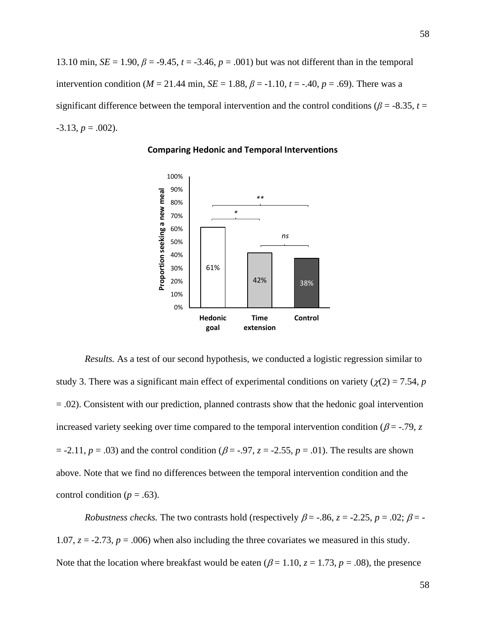13.10 min,  $SE = 1.90$ ,  $\beta = -9.45$ ,  $t = -3.46$ ,  $p = .001$ ) but was not different than in the temporal intervention condition ( $M = 21.44$  min,  $SE = 1.88$ ,  $\beta = -1.10$ ,  $t = -.40$ ,  $p = .69$ ). There was a significant difference between the temporal intervention and the control conditions ( $\beta$  = -8.35, *t* =  $-3.13, p = .002$ ).



**Comparing Hedonic and Temporal Interventions**

*Results.* As a test of our second hypothesis, we conducted a logistic regression similar to study 3. There was a significant main effect of experimental conditions on variety ( $\chi$ (2) = 7.54, *p* = .02). Consistent with our prediction, planned contrasts show that the hedonic goal intervention increased variety seeking over time compared to the temporal intervention condition ( $\beta$  = -.79, *z*  $= -2.11$ ,  $p = .03$ ) and the control condition ( $\beta = -.97$ ,  $z = -2.55$ ,  $p = .01$ ). The results are shown above. Note that we find no differences between the temporal intervention condition and the control condition ( $p = .63$ ).

*Robustness checks.* The two contrasts hold (respectively  $\beta$  = -.86, *z* = -2.25, *p* = .02;  $\beta$  = -1.07,  $z = -2.73$ ,  $p = .006$ ) when also including the three covariates we measured in this study. Note that the location where breakfast would be eaten ( $\beta$  = 1.10,  $z$  = 1.73,  $p$  = .08), the presence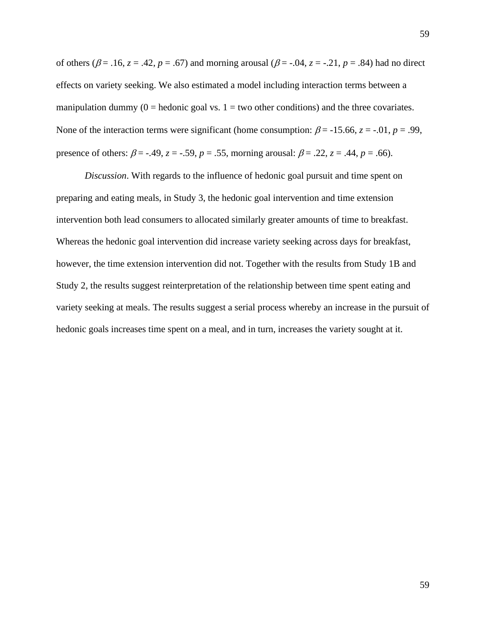of others ( $\beta$  = .16, *z* = .42, *p* = .67) and morning arousal ( $\beta$  = -.04, *z* = -.21, *p* = .84) had no direct effects on variety seeking. We also estimated a model including interaction terms between a manipulation dummy ( $0 =$  hedonic goal vs.  $1 =$  two other conditions) and the three covariates. None of the interaction terms were significant (home consumption:  $\beta$  = -15.66, *z* = -.01, *p* = .99, presence of others:  $\beta = -0.49$ ,  $z = -0.59$ ,  $p = 0.55$ , morning arousal:  $\beta = 0.22$ ,  $z = 0.44$ ,  $p = 0.66$ ).

*Discussion*. With regards to the influence of hedonic goal pursuit and time spent on preparing and eating meals, in Study 3, the hedonic goal intervention and time extension intervention both lead consumers to allocated similarly greater amounts of time to breakfast. Whereas the hedonic goal intervention did increase variety seeking across days for breakfast, however, the time extension intervention did not. Together with the results from Study 1B and Study 2, the results suggest reinterpretation of the relationship between time spent eating and variety seeking at meals. The results suggest a serial process whereby an increase in the pursuit of hedonic goals increases time spent on a meal, and in turn, increases the variety sought at it.